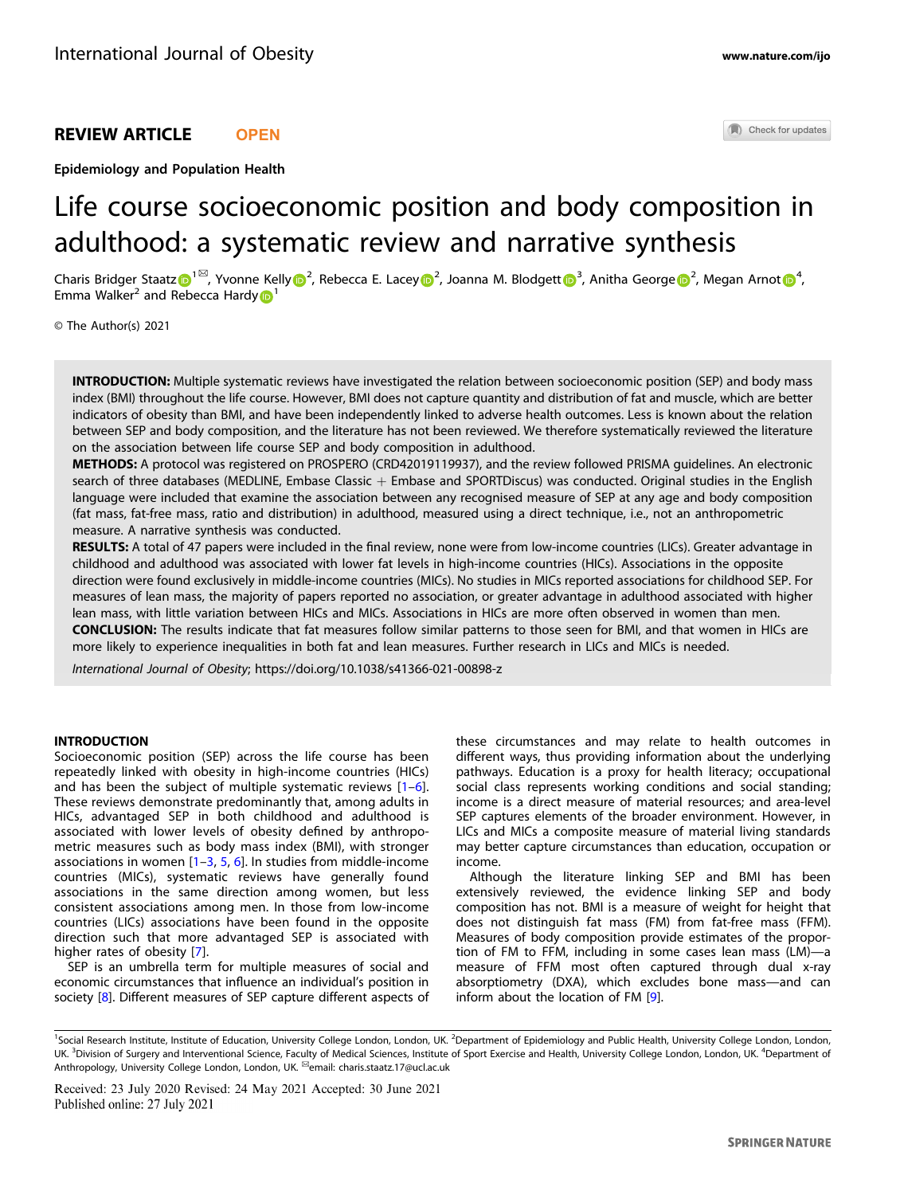Check for updates

# REVIEW ARTICLE **OPEN**

Epidemiology and Population Health

# Life course socioeconomic position and body composition in adulthood: a systematic review and narrative synthesis

Charis Bridg[e](http://orcid.org/0000-0002-5592-2323)r S[t](http://orcid.org/0000-0002-6293-5202)aatz $\bm{\mathbb{D}}^{1\boxtimes}$  $\bm{\mathbb{D}}^{1\boxtimes}$  $\bm{\mathbb{D}}^{1\boxtimes}$ , Yvonne Kell[y](http://orcid.org/0000-0002-3510-0795) $\bm{\mathbb{D}}^2$  $\bm{\mathbb{D}}^2$ , Rebecca E. Lacey $\bm{\mathbb{D}}^2$ , Joanna M. Blodgett $\bm{\mathbb{D}}^3$  $\bm{\mathbb{D}}^3$ , Anitha George $\bm{\mathbb{D}}^2$ , Megan Arnot $\bm{\mathbb{D}}^4$  $\bm{\mathbb{D}}^4$ , Emma Walker<sup>2</sup> and Rebecca Hardy  $\blacksquare$ <sup>[1](http://orcid.org/0000-0001-9949-0799)</sup>

© The Author(s) 2021

INTRODUCTION: Multiple systematic reviews have investigated the relation between socioeconomic position (SEP) and body mass index (BMI) throughout the life course. However, BMI does not capture quantity and distribution of fat and muscle, which are better indicators of obesity than BMI, and have been independently linked to adverse health outcomes. Less is known about the relation between SEP and body composition, and the literature has not been reviewed. We therefore systematically reviewed the literature on the association between life course SEP and body composition in adulthood.

METHODS: A protocol was registered on PROSPERO (CRD42019119937), and the review followed PRISMA guidelines. An electronic search of three databases (MEDLINE, Embase Classic  $+$  Embase and SPORTDiscus) was conducted. Original studies in the English language were included that examine the association between any recognised measure of SEP at any age and body composition (fat mass, fat-free mass, ratio and distribution) in adulthood, measured using a direct technique, i.e., not an anthropometric measure. A narrative synthesis was conducted.

RESULTS: A total of 47 papers were included in the final review, none were from low-income countries (LICs). Greater advantage in childhood and adulthood was associated with lower fat levels in high-income countries (HICs). Associations in the opposite direction were found exclusively in middle-income countries (MICs). No studies in MICs reported associations for childhood SEP. For measures of lean mass, the majority of papers reported no association, or greater advantage in adulthood associated with higher lean mass, with little variation between HICs and MICs. Associations in HICs are more often observed in women than men. CONCLUSION: The results indicate that fat measures follow similar patterns to those seen for BMI, and that women in HICs are more likely to experience inequalities in both fat and lean measures. Further research in LICs and MICs is needed.

International Journal of Obesity; https://doi.org/10.1038/s41366-021-00898-z

# INTRODUCTION

Socioeconomic position (SEP) across the life course has been repeatedly linked with obesity in high-income countries (HICs) and has been the subject of multiple systematic reviews [[1](#page-13-0)–[6\]](#page-13-0). These reviews demonstrate predominantly that, among adults in HICs, advantaged SEP in both childhood and adulthood is associated with lower levels of obesity defined by anthropometric measures such as body mass index (BMI), with stronger associations in women [[1](#page-13-0)–[3,](#page-13-0) [5,](#page-13-0) [6\]](#page-13-0). In studies from middle-income countries (MICs), systematic reviews have generally found associations in the same direction among women, but less consistent associations among men. In those from low-income countries (LICs) associations have been found in the opposite direction such that more advantaged SEP is associated with higher rates of obesity [\[7\]](#page-13-0).

SEP is an umbrella term for multiple measures of social and economic circumstances that influence an individual's position in society [\[8\]](#page-13-0). Different measures of SEP capture different aspects of these circumstances and may relate to health outcomes in different ways, thus providing information about the underlying pathways. Education is a proxy for health literacy; occupational social class represents working conditions and social standing; income is a direct measure of material resources; and area-level SEP captures elements of the broader environment. However, in LICs and MICs a composite measure of material living standards may better capture circumstances than education, occupation or income.

Although the literature linking SEP and BMI has been extensively reviewed, the evidence linking SEP and body composition has not. BMI is a measure of weight for height that does not distinguish fat mass (FM) from fat-free mass (FFM). Measures of body composition provide estimates of the proportion of FM to FFM, including in some cases lean mass (LM)—a measure of FFM most often captured through dual x-ray absorptiometry (DXA), which excludes bone mass—and can inform about the location of FM [\[9\]](#page-13-0).

<sup>&</sup>lt;sup>1</sup>Social Research Institute, Institute of Education, University College London, London, UK. <sup>2</sup>Department of Epidemiology and Public Health, University College London, London, UK. <sup>3</sup>Division of Surgery and Interventional Science, Faculty of Medical Sciences, Institute of Sport Exercise and Health, University College London, London, UK. <sup>4</sup>Department of Anthropology, University College London, London, UK. <sup>⊠</sup>email: [charis.staatz.17@ucl.ac.uk](mailto:charis.staatz.17@ucl.ac.uk)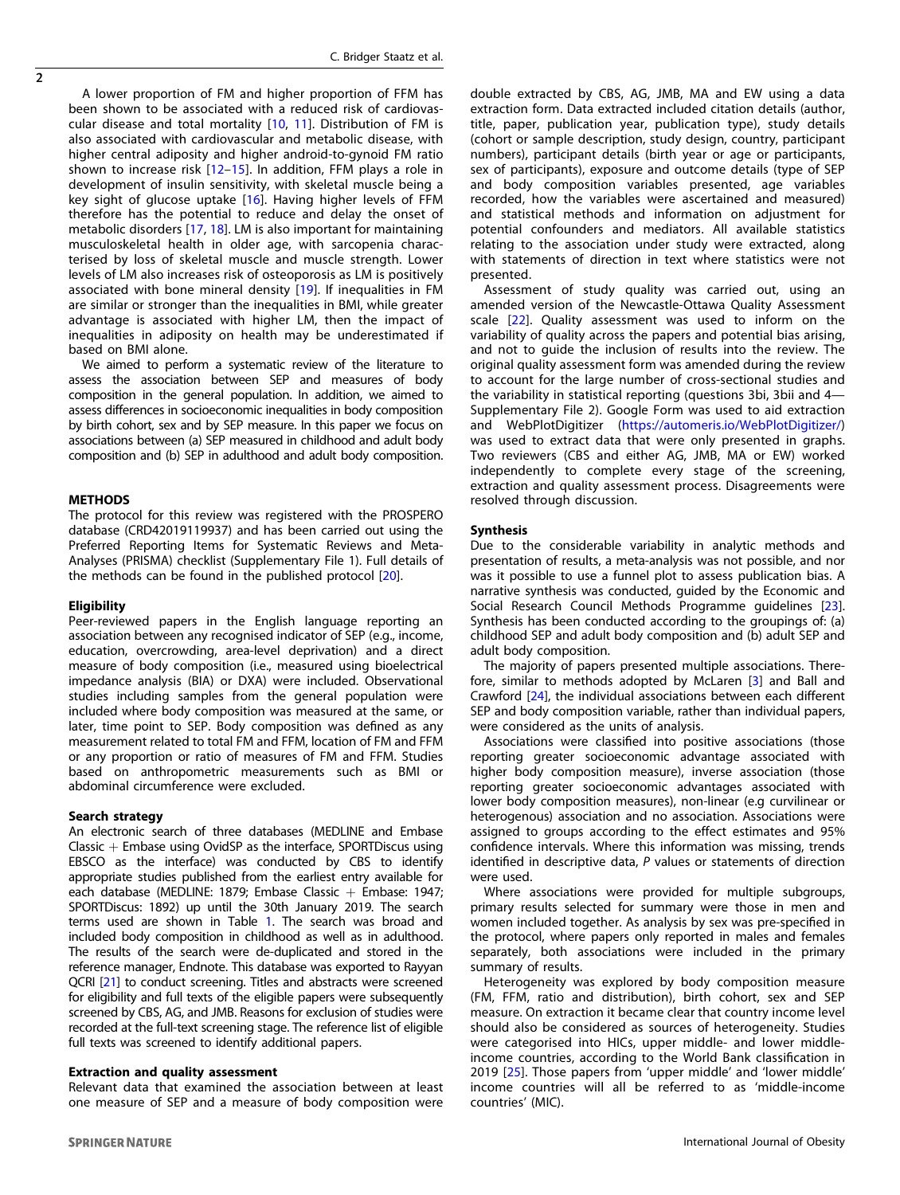A lower proportion of FM and higher proportion of FFM has been shown to be associated with a reduced risk of cardiovascular disease and total mortality [[10](#page-13-0), [11\]](#page-13-0). Distribution of FM is also associated with cardiovascular and metabolic disease, with higher central adiposity and higher android-to-gynoid FM ratio shown to increase risk [\[12](#page-13-0)–[15](#page-13-0)]. In addition, FFM plays a role in development of insulin sensitivity, with skeletal muscle being a key sight of glucose uptake [[16](#page-13-0)]. Having higher levels of FFM therefore has the potential to reduce and delay the onset of metabolic disorders [[17,](#page-13-0) [18](#page-13-0)]. LM is also important for maintaining musculoskeletal health in older age, with sarcopenia characterised by loss of skeletal muscle and muscle strength. Lower levels of LM also increases risk of osteoporosis as LM is positively associated with bone mineral density [\[19\]](#page-13-0). If inequalities in FM are similar or stronger than the inequalities in BMI, while greater advantage is associated with higher LM, then the impact of inequalities in adiposity on health may be underestimated if based on BMI alone.

We aimed to perform a systematic review of the literature to assess the association between SEP and measures of body composition in the general population. In addition, we aimed to assess differences in socioeconomic inequalities in body composition by birth cohort, sex and by SEP measure. In this paper we focus on associations between (a) SEP measured in childhood and adult body composition and (b) SEP in adulthood and adult body composition.

#### METHODS

The protocol for this review was registered with the PROSPERO database (CRD42019119937) and has been carried out using the Preferred Reporting Items for Systematic Reviews and Meta-Analyses (PRISMA) checklist (Supplementary File 1). Full details of the methods can be found in the published protocol [\[20](#page-13-0)].

#### **Eligibility**

Peer-reviewed papers in the English language reporting an association between any recognised indicator of SEP (e.g., income, education, overcrowding, area-level deprivation) and a direct measure of body composition (i.e., measured using bioelectrical impedance analysis (BIA) or DXA) were included. Observational studies including samples from the general population were included where body composition was measured at the same, or later, time point to SEP. Body composition was defined as any measurement related to total FM and FFM, location of FM and FFM or any proportion or ratio of measures of FM and FFM. Studies based on anthropometric measurements such as BMI or abdominal circumference were excluded.

#### Search strategy

An electronic search of three databases (MEDLINE and Embase Classic  $+$  Embase using OvidSP as the interface, SPORTDiscus using EBSCO as the interface) was conducted by CBS to identify appropriate studies published from the earliest entry available for each database (MEDLINE: 1879; Embase Classic  $+$  Embase: 1947; SPORTDiscus: 1892) up until the 30th January 2019. The search terms used are shown in Table [1](#page-2-0). The search was broad and included body composition in childhood as well as in adulthood. The results of the search were de-duplicated and stored in the reference manager, Endnote. This database was exported to Rayyan QCRI [\[21](#page-13-0)] to conduct screening. Titles and abstracts were screened for eligibility and full texts of the eligible papers were subsequently screened by CBS, AG, and JMB. Reasons for exclusion of studies were recorded at the full-text screening stage. The reference list of eligible full texts was screened to identify additional papers.

## Extraction and quality assessment

Relevant data that examined the association between at least one measure of SEP and a measure of body composition were

double extracted by CBS, AG, JMB, MA and EW using a data extraction form. Data extracted included citation details (author, title, paper, publication year, publication type), study details (cohort or sample description, study design, country, participant numbers), participant details (birth year or age or participants, sex of participants), exposure and outcome details (type of SEP and body composition variables presented, age variables recorded, how the variables were ascertained and measured) and statistical methods and information on adjustment for potential confounders and mediators. All available statistics relating to the association under study were extracted, along with statements of direction in text where statistics were not presented.

Assessment of study quality was carried out, using an amended version of the Newcastle-Ottawa Quality Assessment scale [[22](#page-13-0)]. Quality assessment was used to inform on the variability of quality across the papers and potential bias arising, and not to guide the inclusion of results into the review. The original quality assessment form was amended during the review to account for the large number of cross-sectional studies and the variability in statistical reporting (questions 3bi, 3bii and 4— Supplementary File 2). Google Form was used to aid extraction and WebPlotDigitizer ([https://automeris.io/WebPlotDigitizer/\)](https://automeris.io/WebPlotDigitizer/) was used to extract data that were only presented in graphs. Two reviewers (CBS and either AG, JMB, MA or EW) worked independently to complete every stage of the screening, extraction and quality assessment process. Disagreements were resolved through discussion.

## **Synthesis**

Due to the considerable variability in analytic methods and presentation of results, a meta-analysis was not possible, and nor was it possible to use a funnel plot to assess publication bias. A narrative synthesis was conducted, guided by the Economic and Social Research Council Methods Programme guidelines [[23](#page-13-0)]. Synthesis has been conducted according to the groupings of: (a) childhood SEP and adult body composition and (b) adult SEP and adult body composition.

The majority of papers presented multiple associations. Therefore, similar to methods adopted by McLaren [[3\]](#page-13-0) and Ball and Crawford [\[24](#page-13-0)], the individual associations between each different SEP and body composition variable, rather than individual papers, were considered as the units of analysis.

Associations were classified into positive associations (those reporting greater socioeconomic advantage associated with higher body composition measure), inverse association (those reporting greater socioeconomic advantages associated with lower body composition measures), non-linear (e.g curvilinear or heterogenous) association and no association. Associations were assigned to groups according to the effect estimates and 95% confidence intervals. Where this information was missing, trends identified in descriptive data, P values or statements of direction were used.

Where associations were provided for multiple subgroups, primary results selected for summary were those in men and women included together. As analysis by sex was pre-specified in the protocol, where papers only reported in males and females separately, both associations were included in the primary summary of results.

Heterogeneity was explored by body composition measure (FM, FFM, ratio and distribution), birth cohort, sex and SEP measure. On extraction it became clear that country income level should also be considered as sources of heterogeneity. Studies were categorised into HICs, upper middle- and lower middleincome countries, according to the World Bank classification in 2019 [[25\]](#page-13-0). Those papers from 'upper middle' and 'lower middle' income countries will all be referred to as 'middle-income countries' (MIC).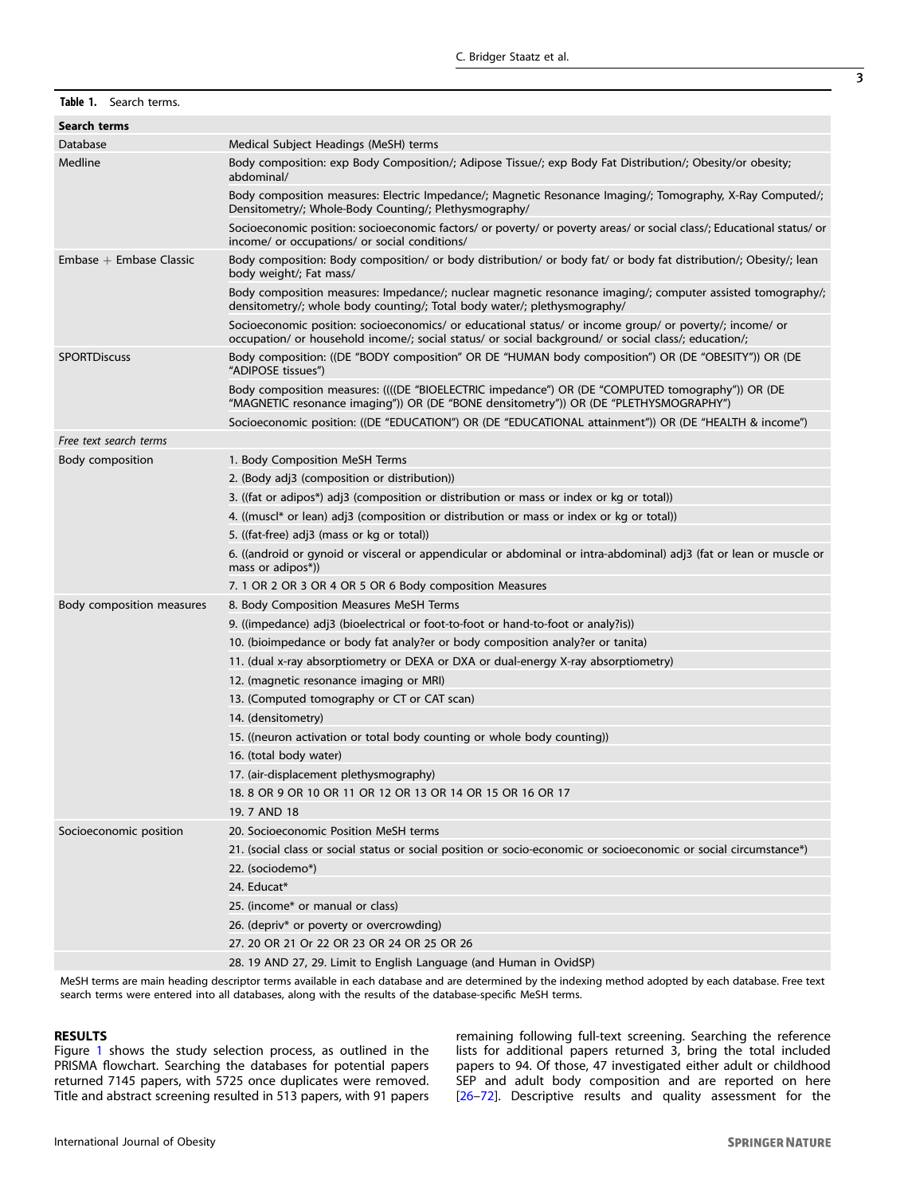<span id="page-2-0"></span>

| <b>Table 1.</b> Search terms. |                                                                                                                                                                                                                 |  |  |  |  |  |  |
|-------------------------------|-----------------------------------------------------------------------------------------------------------------------------------------------------------------------------------------------------------------|--|--|--|--|--|--|
| <b>Search terms</b>           |                                                                                                                                                                                                                 |  |  |  |  |  |  |
| Database                      | Medical Subject Headings (MeSH) terms                                                                                                                                                                           |  |  |  |  |  |  |
| Medline                       | Body composition: exp Body Composition/; Adipose Tissue/; exp Body Fat Distribution/; Obesity/or obesity;<br>abdominal/                                                                                         |  |  |  |  |  |  |
|                               | Body composition measures: Electric Impedance/; Magnetic Resonance Imaging/; Tomography, X-Ray Computed/;<br>Densitometry/; Whole-Body Counting/; Plethysmography/                                              |  |  |  |  |  |  |
|                               | Socioeconomic position: socioeconomic factors/ or poverty/ or poverty areas/ or social class/; Educational status/ or<br>income/ or occupations/ or social conditions/                                          |  |  |  |  |  |  |
| $Embase + Embase Classic$     | Body composition: Body composition/ or body distribution/ or body fat/ or body fat distribution/; Obesity/; lean<br>body weight/; Fat mass/                                                                     |  |  |  |  |  |  |
|                               | Body composition measures: Impedance/; nuclear magnetic resonance imaging/; computer assisted tomography/;<br>densitometry/; whole body counting/; Total body water/; plethysmography/                          |  |  |  |  |  |  |
|                               | Socioeconomic position: socioeconomics/ or educational status/ or income group/ or poverty/; income/ or<br>occupation/ or household income/; social status/ or social background/ or social class/; education/; |  |  |  |  |  |  |
| <b>SPORTDiscuss</b>           | Body composition: ((DE "BODY composition" OR DE "HUMAN body composition") OR (DE "OBESITY")) OR (DE<br>"ADIPOSE tissues")                                                                                       |  |  |  |  |  |  |
|                               | Body composition measures: ((((DE "BIOELECTRIC impedance") OR (DE "COMPUTED tomography")) OR (DE<br>"MAGNETIC resonance imaging")) OR (DE "BONE densitometry")) OR (DE "PLETHYSMOGRAPHY")                       |  |  |  |  |  |  |
|                               | Socioeconomic position: ((DE "EDUCATION") OR (DE "EDUCATIONAL attainment")) OR (DE "HEALTH & income")                                                                                                           |  |  |  |  |  |  |
| Free text search terms        |                                                                                                                                                                                                                 |  |  |  |  |  |  |
| Body composition              | 1. Body Composition MeSH Terms                                                                                                                                                                                  |  |  |  |  |  |  |
|                               | 2. (Body adj3 (composition or distribution))                                                                                                                                                                    |  |  |  |  |  |  |
|                               | 3. ((fat or adipos*) adj3 (composition or distribution or mass or index or kg or total))                                                                                                                        |  |  |  |  |  |  |
|                               | 4. ((muscl* or lean) adj3 (composition or distribution or mass or index or kg or total))                                                                                                                        |  |  |  |  |  |  |
|                               | 5. ((fat-free) adj3 (mass or kg or total))                                                                                                                                                                      |  |  |  |  |  |  |
|                               | 6. ((android or gynoid or visceral or appendicular or abdominal or intra-abdominal) adj3 (fat or lean or muscle or<br>mass or adipos*))                                                                         |  |  |  |  |  |  |
|                               | 7. 1 OR 2 OR 3 OR 4 OR 5 OR 6 Body composition Measures                                                                                                                                                         |  |  |  |  |  |  |
| Body composition measures     | 8. Body Composition Measures MeSH Terms                                                                                                                                                                         |  |  |  |  |  |  |
|                               | 9. ((impedance) adj3 (bioelectrical or foot-to-foot or hand-to-foot or analy?is))                                                                                                                               |  |  |  |  |  |  |
|                               | 10. (bioimpedance or body fat analy?er or body composition analy?er or tanita)                                                                                                                                  |  |  |  |  |  |  |
|                               | 11. (dual x-ray absorptiometry or DEXA or DXA or dual-energy X-ray absorptiometry)                                                                                                                              |  |  |  |  |  |  |
|                               | 12. (magnetic resonance imaging or MRI)                                                                                                                                                                         |  |  |  |  |  |  |
|                               | 13. (Computed tomography or CT or CAT scan)                                                                                                                                                                     |  |  |  |  |  |  |
|                               | 14. (densitometry)                                                                                                                                                                                              |  |  |  |  |  |  |
|                               | 15. ((neuron activation or total body counting or whole body counting))                                                                                                                                         |  |  |  |  |  |  |
|                               | 16. (total body water)                                                                                                                                                                                          |  |  |  |  |  |  |
|                               | 17. (air-displacement plethysmography)                                                                                                                                                                          |  |  |  |  |  |  |
|                               | 18.8 OR 9 OR 10 OR 11 OR 12 OR 13 OR 14 OR 15 OR 16 OR 17                                                                                                                                                       |  |  |  |  |  |  |
|                               | 19. 7 AND 18                                                                                                                                                                                                    |  |  |  |  |  |  |
| Socioeconomic position        | 20. Socioeconomic Position MeSH terms                                                                                                                                                                           |  |  |  |  |  |  |
|                               | 21. (social class or social status or social position or socio-economic or socioeconomic or social circumstance*)                                                                                               |  |  |  |  |  |  |
|                               | 22. (sociodemo*)                                                                                                                                                                                                |  |  |  |  |  |  |
|                               | 24. Educat*                                                                                                                                                                                                     |  |  |  |  |  |  |
|                               | 25. (income* or manual or class)                                                                                                                                                                                |  |  |  |  |  |  |
|                               | 26. (depriv* or poverty or overcrowding)                                                                                                                                                                        |  |  |  |  |  |  |
|                               | 27, 20 OR 21 Or 22 OR 23 OR 24 OR 25 OR 26                                                                                                                                                                      |  |  |  |  |  |  |
|                               | 28. 19 AND 27, 29. Limit to English Language (and Human in OvidSP)                                                                                                                                              |  |  |  |  |  |  |
|                               | MeSH terms are main besident of terms available in each database and are both promined by the indeving method adopted by each chatabase. Free text                                                              |  |  |  |  |  |  |

 ${\rm SH}$  terms are main heading descriptor terms available in each database and are determined by the indexing method adopted search terms were entered into all databases, along with the results of the database-specific MeSH terms.

# RESULTS

Figure [1](#page-3-0) shows the study selection process, as outlined in the PRISMA flowchart. Searching the databases for potential papers returned 7145 papers, with 5725 once duplicates were removed. Title and abstract screening resulted in 513 papers, with 91 papers

remaining following full-text screening. Searching the reference lists for additional papers returned 3, bring the total included papers to 94. Of those, 47 investigated either adult or childhood SEP and adult body composition and are reported on here [\[26](#page-13-0)–[72](#page-14-0)]. Descriptive results and quality assessment for the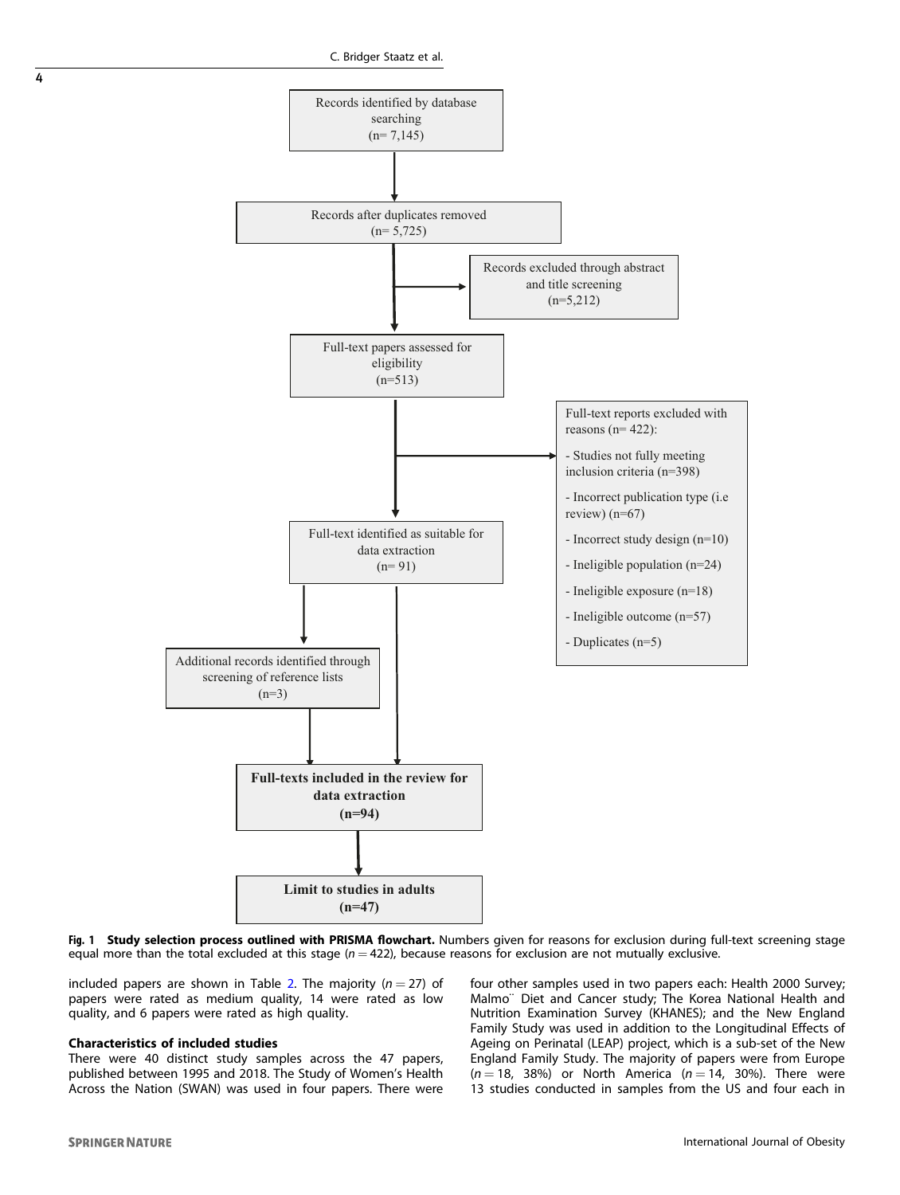<span id="page-3-0"></span>

Fig. 1 Study selection process outlined with PRISMA flowchart. Numbers given for reasons for exclusion during full-text screening stage equal more than the total excluded at this stage  $(n = 422)$ , because reasons for exclusion are not mutually exclusive.

included papers are shown in Table [2.](#page-4-0) The majority ( $n = 27$ ) of papers were rated as medium quality, 14 were rated as low quality, and 6 papers were rated as high quality.

# Characteristics of included studies

There were 40 distinct study samples across the 47 papers, published between 1995 and 2018. The Study of Women's Health Across the Nation (SWAN) was used in four papers. There were four other samples used in two papers each: Health 2000 Survey; Malmo" Diet and Cancer study; The Korea National Health and Nutrition Examination Survey (KHANES); and the New England Family Study was used in addition to the Longitudinal Effects of Ageing on Perinatal (LEAP) project, which is a sub-set of the New England Family Study. The majority of papers were from Europe  $(n = 18, 38%)$  or North America  $(n = 14, 30%)$ . There were 13 studies conducted in samples from the US and four each in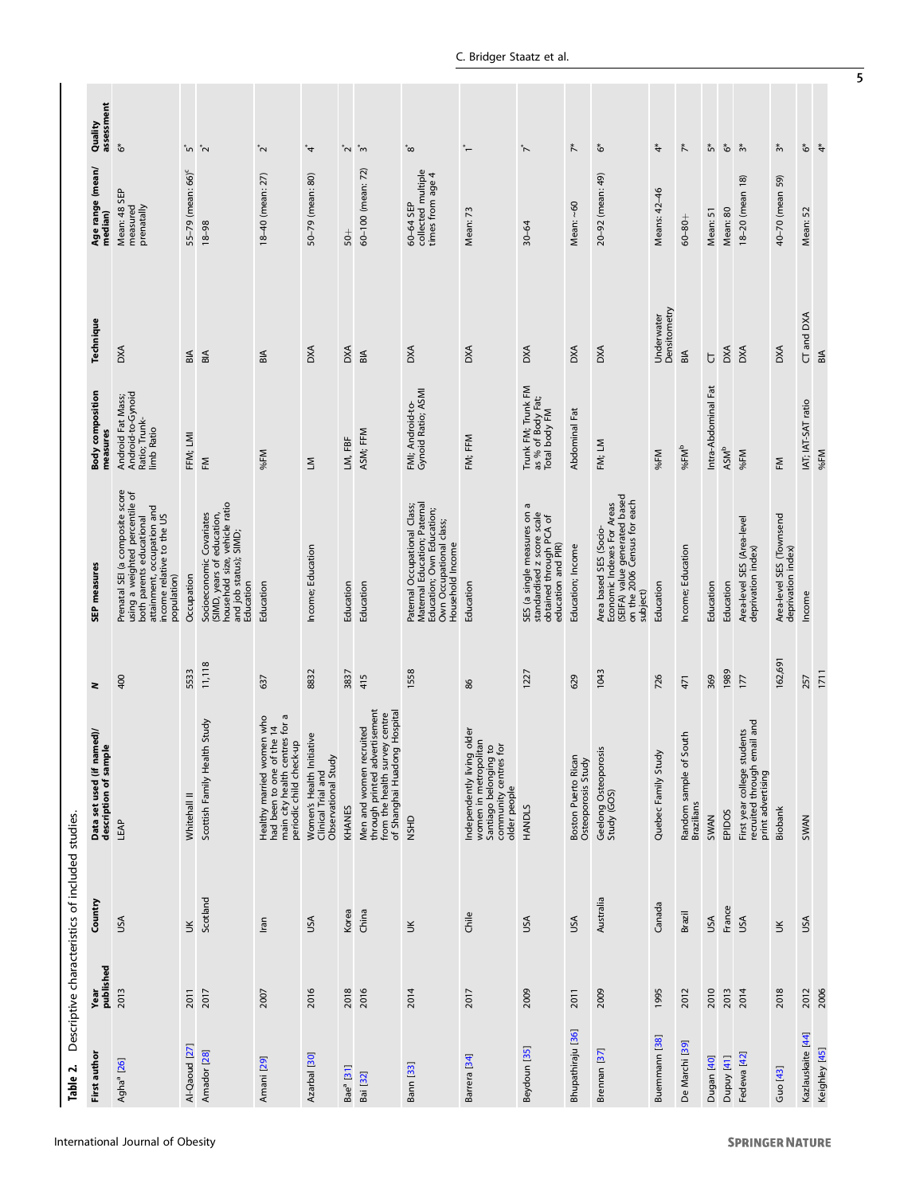<span id="page-4-0"></span>

| Table 2.               |                   | Descriptive characteristics of included studies. |                                                                                                                           |         |                                                                                                                                                                         |                                                                       |                            |                                                     |                                    |
|------------------------|-------------------|--------------------------------------------------|---------------------------------------------------------------------------------------------------------------------------|---------|-------------------------------------------------------------------------------------------------------------------------------------------------------------------------|-----------------------------------------------------------------------|----------------------------|-----------------------------------------------------|------------------------------------|
| First author           | Year<br>published | Country                                          | named)/<br>ele<br>description of san<br>Data set used (if                                                                 | z       | SEP measures                                                                                                                                                            | <b>Body composition</b><br>measures                                   | Technique                  | Age range (mean/<br>median)                         | assessment<br>Quality              |
| Agha <sup>ª</sup> [26] | 2013              | USA                                              | LEAP                                                                                                                      | 400     | Prenatal SEI (a composite score<br>using a weighted percentile of<br>both parents educational<br>attainment, occupation and<br>income relative to the US<br>population) | Android-to-Gynoid<br>Ratio; Trunk-<br>Android Fat Mass;<br>limb Ratio | <b>DXA</b>                 | Mean: 48 SEP<br>measured<br>prenatally              | $\bullet^*$                        |
| Al-Qaoud [27]          | 2011              | š                                                | Whitehall II                                                                                                              | 5533    | Occupation                                                                                                                                                              | FFM; LMI                                                              | BIA                        | 55-79 (mean: 66) <sup>c</sup>                       |                                    |
| Amador [28]            | 2017              | Scotland                                         | Scottish Family Health Study                                                                                              | 11,118  | household size, vehicle ratio<br>and job status); SIMD;<br>Socioeconomic Covariates<br>(SIMD, years of education,<br>Education                                          | $\mathsf{K}$                                                          | BIA                        | $18 - 98$                                           | ້ດ້າ                               |
| Amani [29]             | 2007              | lran                                             | Healthy married women who<br>had been to one of the 14<br>main city health centres for a<br>periodic child check-up       | 637     | Education                                                                                                                                                               | %FM                                                                   | BIA                        | 18-40 (mean: 27)                                    | $\sim^*$                           |
| Azarbal [30]           | 2016              | USA                                              | Women's Health Initiative<br>Clinical Trial and<br>Observational Study                                                    | 8832    | Income; Education                                                                                                                                                       | $\leq$                                                                | DXA                        | 50-79 (mean: 80)                                    | $^{\ast}$                          |
| Bae <sup>a</sup> [31]  | 2018              | Korea                                            | KHANES                                                                                                                    | 3837    | Education                                                                                                                                                               | LM, FBF                                                               | <b>DXA</b>                 | $-50 +$                                             |                                    |
| Bai [32]               | 2016              | China                                            | through printed advertisement<br>from the health survey centre<br>of Shanghai Huadong Hospital<br>Men and women recruited | 415     | Education                                                                                                                                                               | ASM; FFM                                                              | BIA                        | 60-100 (mean: 72)                                   | ້~ ຳ                               |
| <b>Bann</b> [33]       | 2014              | $\preceq$                                        | <b>NSHD</b>                                                                                                               | 1558    | Maternal Education; Paternal<br>Education; Own Education;<br>Paternal Occupational Class;<br>Own Occupational class;<br>Household Income                                | Gynoid Ratio; ASMI<br>FMI; Android-to-                                | DXA                        | collected multiple<br>times from age 4<br>60-64 SEP | $^{\ast}{}_{\infty}$               |
| Barrera [34]           | 2017              | Chile                                            | Independently living older<br>women in metropolitan<br>Santiago belonging to<br>community centres for<br>older people     | 86      | Education                                                                                                                                                               | FM; FFM                                                               | <b>DXA</b>                 | Mean: 73                                            | $^\ast-$                           |
| Beydoun [35]           | 2009              | USA                                              | <b>HANDLS</b>                                                                                                             | 1227    | SES (a single measures on a<br>standardised z score scale<br>obtained through PCA of<br>education and PIR)                                                              | Trunk FM; Trunk FM<br>as % of Body Fat;<br>Total body FM              | DXA                        | $30 - 64$                                           | $\sim$                             |
| Bhupathiraju [36]      | 2011              | USA                                              | $\subseteq$<br>Boston Puerto Rica<br>Osteoporosis Study                                                                   | 629     | Education; Income                                                                                                                                                       | Abdominal Fat                                                         | DXA                        | Mean: ~60                                           | $\overline{r}$                     |
| Brennan [37]           | 2009              | Australia                                        | Geelong Osteoporosis<br>Study (GOS)                                                                                       | 1043    | (SEIFA) value generated based<br>on the 2006 Census for each<br>Economic Indexes For Areas<br>Area based SES (Socio-<br>subject)                                        | FM; LM                                                                | DXA                        | 20-92 (mean: 49)                                    | ő*                                 |
| Buemmann [38]          | 1995              | Canada                                           | Quebec Family Study                                                                                                       | 726     | Education                                                                                                                                                               | %FM                                                                   | Densitometry<br>Underwater | Means: 42-46                                        | $\overset{*}{\mathbf{4}}$          |
| De Marchi [39]         | 2012              | Brazil                                           | South<br>Random sample of<br>Brazilians                                                                                   | 471     | Income; Education                                                                                                                                                       | %FMb                                                                  | <b>BIA</b>                 | $60 - 80 +$                                         | $\tilde{z}^*$                      |
| Dugan [40]             | 2010              | USA                                              | SWAN                                                                                                                      | 369     | Education                                                                                                                                                               | Intra-Abdominal Fat                                                   | С                          | Mean: 51                                            | $\mathfrak{s}^*$                   |
| Dupuy [41]             | 2013              | France                                           | EPIDOS                                                                                                                    | 1989    | Education                                                                                                                                                               | ASM <sup>b</sup>                                                      | DXA                        | Mean: 80                                            | $\rm\mathring{\circ}$              |
| Fedewa [42]            | 2014              | USA                                              | email and<br>students<br>First year college<br>recruited through<br>print advertising                                     | 177     | Area-level SES (Area-level<br>deprivation index)                                                                                                                        | %FM                                                                   | <b>DXA</b>                 | 18-20 (mean 18)                                     | $\stackrel{*}{\scriptstyle{\sim}}$ |
| Guo [43]               | 2018              | $\preceq$                                        | Biobank                                                                                                                   | 162,691 | Area-level SES (Townsend<br>deprivation index)                                                                                                                          | ΕM                                                                    | <b>DXA</b>                 | 40-70 (mean 59)                                     | $\frac{*}{2}$                      |
| Kazlauskaite [44]      | 2012              | USA                                              | <b>SWAN</b>                                                                                                               | 257     | Income                                                                                                                                                                  | IAT; IAT-SAT ratio                                                    | CT and DXA                 | Mean: 52                                            |                                    |
| Keighley [45]          | 2006              |                                                  |                                                                                                                           | 1711    |                                                                                                                                                                         | %FM                                                                   | BIA                        |                                                     | $\ddot{ }$                         |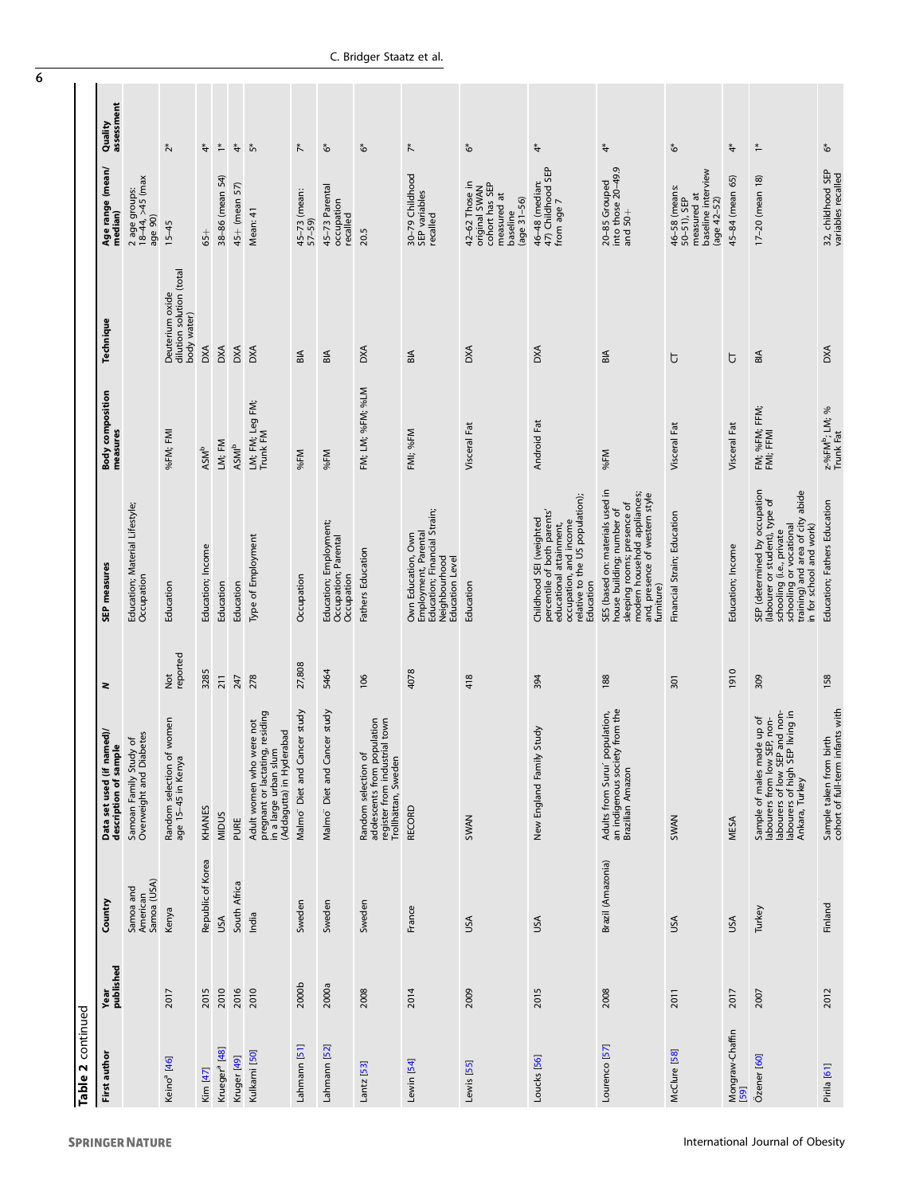| Table 2 continued         |                   |                                      |                                                                                                                                                  |                 |                                                                                                                                                                                       |                                         |                                                            |                                                                                             |                               |
|---------------------------|-------------------|--------------------------------------|--------------------------------------------------------------------------------------------------------------------------------------------------|-----------------|---------------------------------------------------------------------------------------------------------------------------------------------------------------------------------------|-----------------------------------------|------------------------------------------------------------|---------------------------------------------------------------------------------------------|-------------------------------|
| First author              | Year<br>published | Country                              | med)<br>$\mathbf{Q}$<br>description of sampl<br>Data set used (if na                                                                             | $\geq$          | SEP measures                                                                                                                                                                          | <b>Body composition</b><br>measures     | Technique                                                  | Age range (mean/<br>median)                                                                 | assessment<br>Quality         |
|                           |                   | Samoa (USA)<br>Samoa and<br>American | Samoan Family Study of<br>Overweight and Diabetes                                                                                                |                 | Education; Material Lifestyle;<br>Occupation                                                                                                                                          |                                         |                                                            | 2 age groups:<br>18–44, >45 (max<br>age 90)                                                 |                               |
| Keino <sup>ª</sup> [46]   | 2017              | Kenya                                | women<br>Random selection of<br>age 15–45 in Kenya                                                                                               | reported<br>Not | Education                                                                                                                                                                             | %FM; FMI                                | Deuterium oxide<br>dilution solution (total<br>body water) | $15 - 45$                                                                                   | $\tilde{c}^*$                 |
| Kim [47]                  | 2015              | Republic of Korea                    | KHANES                                                                                                                                           | 3285            | Education; Income                                                                                                                                                                     | ASM <sup>b</sup>                        | <b>DXA</b>                                                 | 65+                                                                                         | $\overset{*}{\textbf{a}}$     |
| Krueger <sup>a</sup> [48] | 2010              | USA                                  | MIDUS                                                                                                                                            | 211             | Education                                                                                                                                                                             | LM; FM                                  | <b>DXA</b>                                                 | 38-86 (mean 54)                                                                             | $\overset{*}{\text{--}}$      |
| Kruger [49]               | 2016              | South Africa                         | PURE                                                                                                                                             | 247             | Education                                                                                                                                                                             | <b>ASMI</b> <sup>b</sup>                | <b>DXA</b>                                                 | 45+ (mean 57)                                                                               | $\mathbf{\mathbf{\hat{4}}}^*$ |
| Kulkarni [50]             | 2010              | India                                | pregnant or lactating, residing<br>in a large urban slum<br>(Addagutta) in Hyderabad<br>Adult women who were not                                 | 278             | Type of Employment                                                                                                                                                                    | LM; FM; Leg FM;<br>Trunk FM             | <b>DXA</b>                                                 | Mean: 41                                                                                    | ້ ກ                           |
| Lahmann [51]              | 2000 <sub>b</sub> | Sweden                               | Malmo" Diet and Cancer study                                                                                                                     | 27,808          | Occupation                                                                                                                                                                            | %FM                                     | BIA                                                        | 45-73 (mean:<br>57-59)                                                                      | $\tilde{z}^*$                 |
| Lahmann [52]              | 2000a             | Sweden                               | <b>ncer</b> study<br>Malmo" Diet and Car                                                                                                         | 5464            | Education; Employment;<br>Occupation; Parental<br>Occupation                                                                                                                          | %FM                                     | ВIА                                                        | 45-73 Parental<br>occupation<br>recalled                                                    | $\bullet^*$                   |
| Lantz [53]                | 2008              | Sweden                               | adolescents from population<br>register from industrial town<br>Trollhättan, Sweden<br>Random selection of                                       | 106             | Fathers Education                                                                                                                                                                     | FM; LM; %FM; %LM                        | <b>DXA</b>                                                 | 20.5                                                                                        | ő*                            |
| Lewin [54]                | 2014              | France                               | RECORD                                                                                                                                           | 4078            | Employment, Parental<br>Education; Financial Strain;<br>Own Education, Own<br>Neighbourhood<br>Education Level                                                                        | FMI; %FM                                | BIA                                                        | 30-79 Childhood<br>SEP variables<br>recalled                                                | $\tilde{z}^*$                 |
| Lewis [55]                | 2009              | USA                                  | <b>SWAN</b>                                                                                                                                      | 418             | Education                                                                                                                                                                             | Visceral Fat                            | <b>DXA</b>                                                 | 42-62 Those in<br>cohort has SEP<br>original SWAN<br>measured at<br>(age 31-56)<br>baseline | ő*                            |
| Loucks [56]               | 2015              | <b>ASU</b>                           | Study<br>New England Family                                                                                                                      | 394             | relative to the US population);<br>percentile of both parents'<br>Childhood SEI (weighted<br>occupation, and income<br>educational attainment,<br>Education                           | Android Fat                             | <b>DXA</b>                                                 | 47) Childhood SEP<br>from age 7<br>46-48 (median:                                           | $\overset{*}{\textbf{a}}$     |
| Lourenco <sup>[57]</sup>  | 2008              | Brazil (Amazonia)                    | Adults from Surur' population,<br>an indigenous society from the<br>Brazilian Amazon                                                             | 188             | SES (based on: materials used in<br>house building; number of<br>modern household appliances;<br>and, presence of western style<br>sleeping rooms; presence of<br>fumiture)           | %FM                                     | BIA                                                        | $20-85$ Grouped<br>into those $20-49.9$<br>and $50+$                                        | $\overset{*}{\textbf{4}}$     |
| McClure [58]              | 2011              | USA                                  | <b>SWAN</b>                                                                                                                                      | 301             | Financial Strain; Education                                                                                                                                                           | Visceral Fat                            | Ⴆ                                                          | baseline interview<br>46-58 (means:<br>measured at<br>50-51), SEP<br>(age 42-52)            | $\bullet^*$                   |
| Mongraw-Chaffin<br>[59]   | 2017              | USA                                  | MESA                                                                                                                                             | 1910            | Education; Income                                                                                                                                                                     | Visceral Fat                            | Ⴆ                                                          | 45-84 (mean 65)                                                                             | $\overset{*}{\tau}$           |
| Özener [60]               | 2007              | Turkey                               | Sample of males made up of<br>labourers from low SEP, non-<br>labourers of low SEP and non-<br>labourers of ligh SEP living in<br>Ankara, Turkey | 309             | SEP (determined by occupation<br>training) and area of city abide<br>(labourer or student), type of<br>schooling (i.e., private<br>schooling or vocational<br>in for school and work) | FM; %FM; FFM;<br>FMI; FFMI              | BIA                                                        | 17-20 (mean 18)                                                                             | $\ddot{}$                     |
| Pirila [61]               | 2012              | Finland                              | Sample taken from birth<br>cohort of full-term infants with                                                                                      | 158             | Education; Fathers Education                                                                                                                                                          | z-%FM <sup>b</sup> ; LM; %<br>Trunk Fat | <b>DXA</b>                                                 | 32, childhood SEP<br>variables recalled                                                     | ő*                            |

6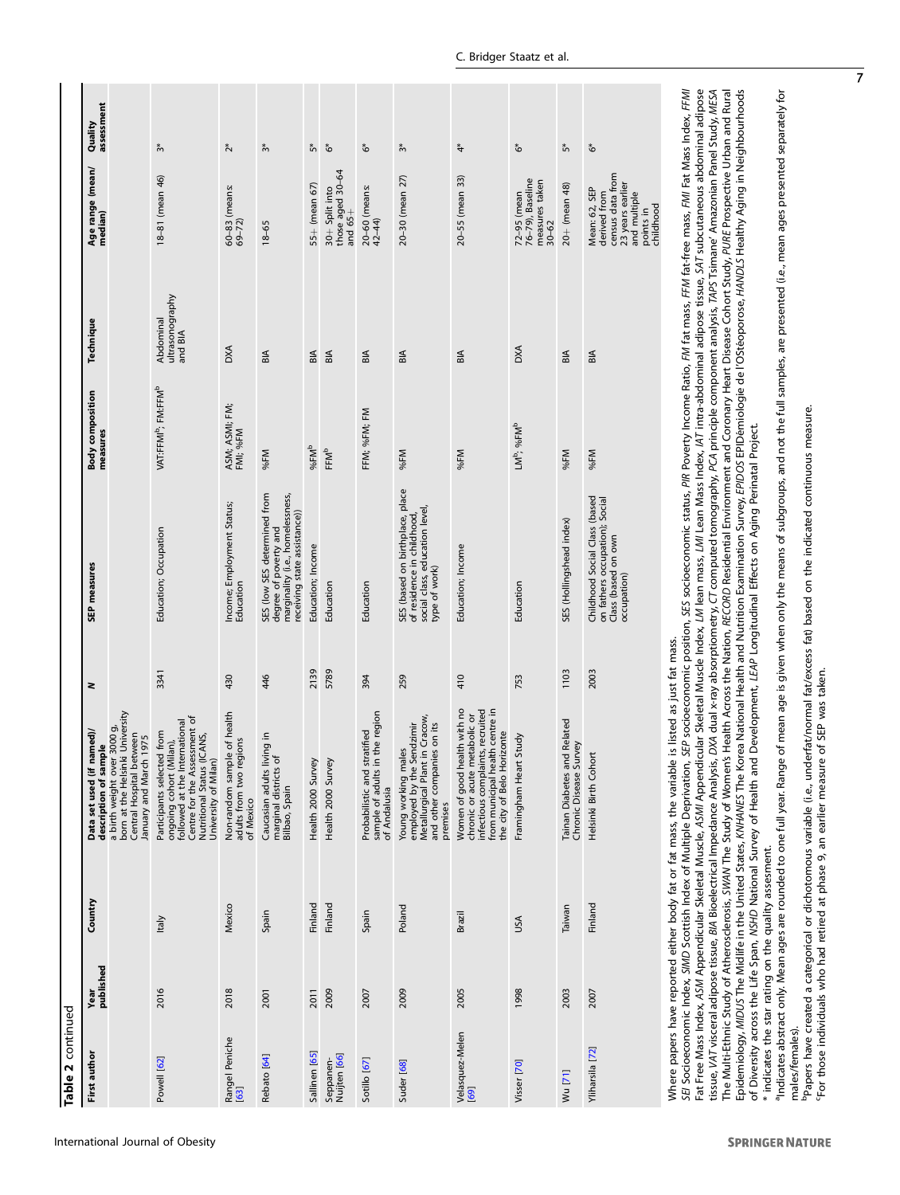| Country<br>Mexico<br>Finland<br>Spain<br>Italy<br>published<br>2016<br>2018<br>2011<br>2001 | a birth weight over 3000 g,<br>born at the Helsinki University<br>Non-random sample of health<br>Centre for the Assessment of<br>ongoing cohort (Milan),<br>followed at the International<br>Participants selected from<br>named)/<br>Caucasian adults living in<br>marginal districts of<br>Central Hospital between<br>Nutritional Status (ICANS,<br>January and March 1975<br>adults from two regions<br>description of sample<br>University of Milan<br>Data set used (if<br>of Mexico | 3341<br>z | SEP measures                                                                                                              | <b>Body composition</b><br>measures         | Technique                               | Age range (mean/<br>median)                                                                                     | Quality                   |
|---------------------------------------------------------------------------------------------|--------------------------------------------------------------------------------------------------------------------------------------------------------------------------------------------------------------------------------------------------------------------------------------------------------------------------------------------------------------------------------------------------------------------------------------------------------------------------------------------|-----------|---------------------------------------------------------------------------------------------------------------------------|---------------------------------------------|-----------------------------------------|-----------------------------------------------------------------------------------------------------------------|---------------------------|
|                                                                                             |                                                                                                                                                                                                                                                                                                                                                                                                                                                                                            |           |                                                                                                                           |                                             |                                         |                                                                                                                 | assessment                |
|                                                                                             |                                                                                                                                                                                                                                                                                                                                                                                                                                                                                            |           | Education; Occupation                                                                                                     | VAT:FFMI <sup>b</sup> ; FM:FFM <sup>b</sup> | ultrasonography<br>Abdominal<br>and BIA | 18-81 (mean 46)                                                                                                 | $\frac{*}{2}$             |
|                                                                                             |                                                                                                                                                                                                                                                                                                                                                                                                                                                                                            | 430       | Income; Employment Status;<br>Education                                                                                   | ASM; ASMI; FM;<br>FMI; %FM                  | <b>DXA</b>                              | 60-83 (means:<br>69-72)                                                                                         | $\tilde{2}^*$             |
|                                                                                             | Bilbao, Spain                                                                                                                                                                                                                                                                                                                                                                                                                                                                              | 446       | SES (low SES determined from<br>marginality (i.e., homelessness,<br>receiving state assistance))<br>degree of poverty and | %FM                                         | ВIА                                     | $18 - 65$                                                                                                       | $\frac{*}{2}$             |
|                                                                                             | Health 2000 Survey                                                                                                                                                                                                                                                                                                                                                                                                                                                                         | 2139      | Education; Income                                                                                                         | %FMb                                        | ВIА                                     | 55+ (mean 67)                                                                                                   | $\mathfrak{s}^*$          |
| Finland<br>2009                                                                             | Health 2000 Survey                                                                                                                                                                                                                                                                                                                                                                                                                                                                         | 5789      | Education                                                                                                                 | FFMb                                        | <b>BIA</b>                              | those aged $30-64$<br>and $65+$<br>30+ Split into                                                               | $\ddot{\circ}$            |
| Spain<br>2007                                                                               | sample of adults in the region<br>stratified<br>Probabilistic and<br>of Andalusia                                                                                                                                                                                                                                                                                                                                                                                                          | 394       | Education                                                                                                                 | FFM; %FM; FM                                | BIA                                     | $20-60$ (means:<br>$42 - 44$                                                                                    | ő*                        |
| Poland<br>2009                                                                              | in Cracow,<br>and other companies on its<br>Young working males<br>employed by the Sendzimir<br>Metallurgical Plant<br>premises                                                                                                                                                                                                                                                                                                                                                            | 259       | SES (based on birthplace, place<br>social class, education level,<br>of residence in childhood,<br>type of work)          | %FM                                         | BIA                                     | 20-30 (mean 27)                                                                                                 | $\frac{*}{2}$             |
| Brazil<br>2005                                                                              | Women of good health with no<br>nfectious complaints, recruited<br>from municipal health centre in<br>chronic or acute metabolic or<br>the city of Belo Horizonte                                                                                                                                                                                                                                                                                                                          | 410       | Education; Income                                                                                                         | %FM                                         | $\frac{4}{10}$                          | 20-55 (mean 33)                                                                                                 | $\overset{*}{\textbf{a}}$ |
| USA<br>1998                                                                                 | Study<br>Framingham Heart                                                                                                                                                                                                                                                                                                                                                                                                                                                                  | 753       | Education                                                                                                                 | LM <sup>b</sup> ; %FM <sup>b</sup>          | <b>DXA</b>                              | 76-79), Baseline<br>measures taken<br>$72-95$ (mean<br>$30 - 62$                                                |                           |
| Taiwan<br>2003                                                                              | nd Related<br>Tainan Diabetes and Re<br>Chronic Disease Survey                                                                                                                                                                                                                                                                                                                                                                                                                             | 1103      | SES (Hollingshead index)                                                                                                  | %FM                                         | BIA                                     | $20+$ (mean 48)                                                                                                 | 5*                        |
| Finland<br>2007                                                                             | $\overline{5}$<br>Helsinki Birth Coh                                                                                                                                                                                                                                                                                                                                                                                                                                                       | 2003      | Childhood Social Class (based<br>on fathers occupation); Social<br>Class (based on own<br>occupation)                     | %FM                                         | BIA                                     | census data from<br>23 years earlier<br>Mean: 62, SEP<br>and multiple<br>derived from<br>points in<br>childhood | $\rm\mathring{\circ}$     |

SEI Socioeconomic Index, SIMD Scottish Index of Multiple Deprivation, SEP socioeconomic position, SES socioeconomic status, PIR Poverty Income Ratio, FM fat mass, FFM fat-free mass, FMI Fat Mass Index, FFMI Fat Free Mass Index, ASM Appendicular Skeletal Muscle, ASMI Appendicular Skeletal Muscle Index, *LMI* Iean mass, *LMI* Lean Mass Index, *IAT* intra-abdominal adipose tissue. SAT subcutaneous abdominal adipose tissue, VAT visceral adipose tissue, B/A Bioelectrical Impedance Analysis, DXA dual x-ray absorptiometry, CT computed tomography, PCA principle component analysis, TAPS Tsimane' Amazonian Panel Study, MESA The Multi-Ethnic Study of Atherosclerosis, SWAN The Study of Women's Health Across the Nation, RECORD Residential Environment and Coronary Heart Disease Cohort Study, PURE Prospective Urban and Rural Epidemiology, MIDUS The Midlife in the United States, KNHANES The Korea National Health and Nutrition Examination Survey, EPIDOS EPIDémiologie de l'OStéoporose, HANDLS Healthy Aging in Neighbourhoods Fat Free Mass Index, ASM Appendicular Skeletal Muscle, ASMI Appendicular Skeletal Muscle Index, LM lean mass, LMI Lean Mass Index, IAT intra-abdominal adipose tissue, SAT subcutaneous abdominal adipose tissue, VAT visceral adipose tissue, BIA Bioelectrical Impedance Analysis, DXA dual x-ray absorptiometry, CT computed tomography, PCA principle component analysis, TAPS Tsimane' Amazonian Panel Study, MESA The Multi-Ethnic Study of Atherosclerosis, SWAN The Study of Women's Health Across the Nation, RECORD Residential Environment and Coronary Heart Disease Cohort Study, PURE Prospective Urban and Rural Epidemiology, MIDUS The Midlife in the United States, KNHANES The Korea National Health and Nutrition Examination Survey, EPIDOS EPIDémiologie de l'OStéoporose, HANDLS Healthy Aging in Neighbourhoods of Diversity across the Life Span, NSHD National Survey of Health and Development, LEAP Longitudinal Effects on Aging Perinatal Project. of Diversity across the Life Span, NSHD National Survey of Health and Development, LEAP Longitudinal Effects on Aging Perinatal Project.

\* indicates the star rating on the quality assesment. \* indicates the star rating on the quality assesment.

"Indicates abstract only. Mean ages are rounded to one full year. Range of mean age is given when only the means of subgroups, and not the full samples, are presented (i.e., mean ages presented separately for aIndicates abstract only. Mean ages are rounded to one full year. Range of mean age is given when only the means of subgroups, and not the full samples, are presented (i.e., mean ages presented separately for males/females). males/females).

Papers have created a categorical or dichotomous variable (i.e., underfat/normal fat/excess fat) based on the indicated continuous measure. bPapers have created a categorical or dichotomous variable (i.e., underfat/normal fat/excess fat) based on the indicated continuous measure.

For those individuals who had retired at phase 9, an earlier measure of SEP was taken. cFor those individuals who had retired at phase 9, an earlier measure of SEP was taken.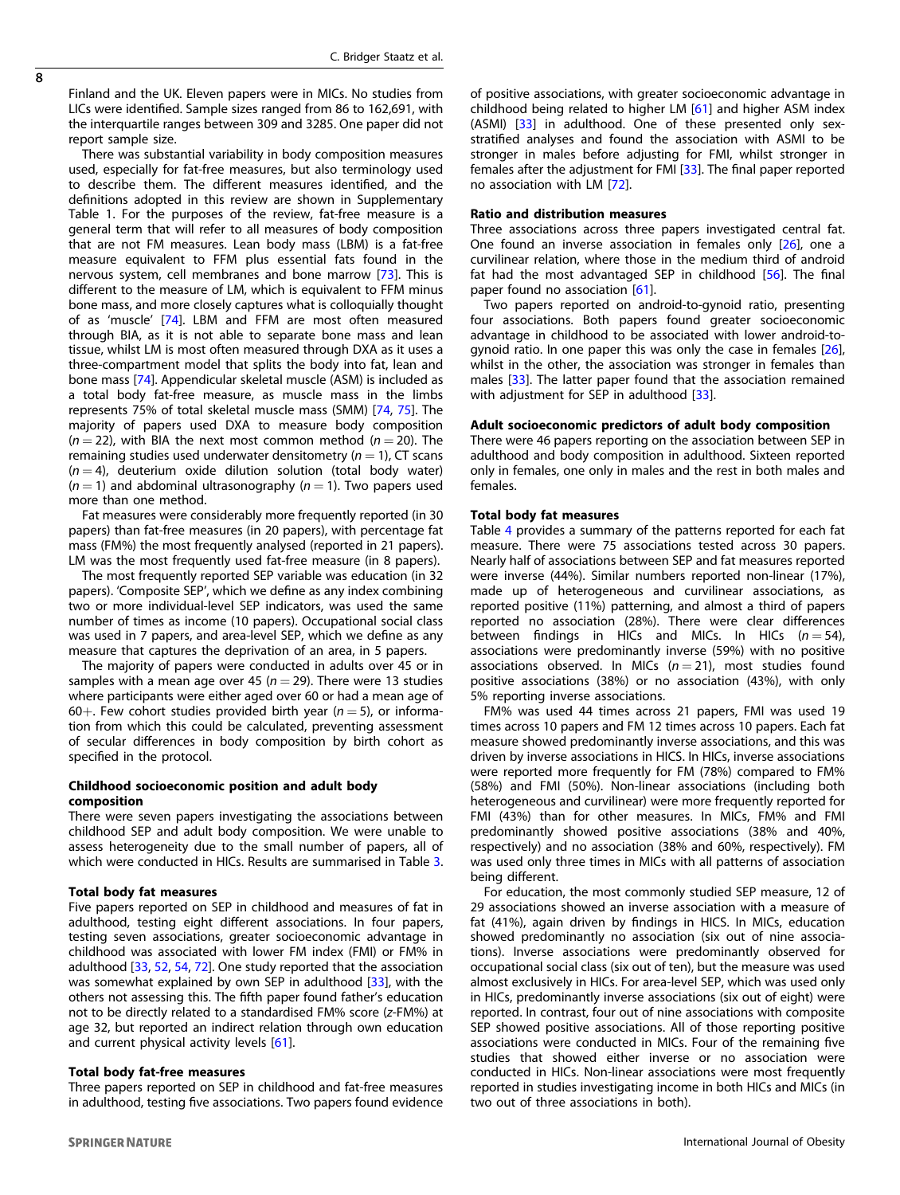Finland and the UK. Eleven papers were in MICs. No studies from LICs were identified. Sample sizes ranged from 86 to 162,691, with the interquartile ranges between 309 and 3285. One paper did not report sample size.

There was substantial variability in body composition measures used, especially for fat-free measures, but also terminology used to describe them. The different measures identified, and the definitions adopted in this review are shown in Supplementary Table 1. For the purposes of the review, fat-free measure is a general term that will refer to all measures of body composition that are not FM measures. Lean body mass (LBM) is a fat-free measure equivalent to FFM plus essential fats found in the nervous system, cell membranes and bone marrow [[73](#page-14-0)]. This is different to the measure of LM, which is equivalent to FFM minus bone mass, and more closely captures what is colloquially thought of as 'muscle' [\[74](#page-14-0)]. LBM and FFM are most often measured through BIA, as it is not able to separate bone mass and lean tissue, whilst LM is most often measured through DXA as it uses a three-compartment model that splits the body into fat, lean and bone mass [[74\]](#page-14-0). Appendicular skeletal muscle (ASM) is included as a total body fat-free measure, as muscle mass in the limbs represents 75% of total skeletal muscle mass (SMM) [\[74](#page-14-0), [75](#page-14-0)]. The majority of papers used DXA to measure body composition  $(n = 22)$ , with BIA the next most common method  $(n = 20)$ . The remaining studies used underwater densitometry ( $n = 1$ ), CT scans  $(n = 4)$ , deuterium oxide dilution solution (total body water)  $(n = 1)$  and abdominal ultrasonography  $(n = 1)$ . Two papers used more than one method.

Fat measures were considerably more frequently reported (in 30 papers) than fat-free measures (in 20 papers), with percentage fat mass (FM%) the most frequently analysed (reported in 21 papers). LM was the most frequently used fat-free measure (in 8 papers).

The most frequently reported SEP variable was education (in 32 papers). 'Composite SEP', which we define as any index combining two or more individual-level SEP indicators, was used the same number of times as income (10 papers). Occupational social class was used in 7 papers, and area-level SEP, which we define as any measure that captures the deprivation of an area, in 5 papers.

The majority of papers were conducted in adults over 45 or in samples with a mean age over 45 ( $n = 29$ ). There were 13 studies where participants were either aged over 60 or had a mean age of 60+. Few cohort studies provided birth year ( $n = 5$ ), or information from which this could be calculated, preventing assessment of secular differences in body composition by birth cohort as specified in the protocol.

# Childhood socioeconomic position and adult body composition

There were seven papers investigating the associations between childhood SEP and adult body composition. We were unable to assess heterogeneity due to the small number of papers, all of which were conducted in HICs. Results are summarised in Table [3.](#page-8-0)

# Total body fat measures

Five papers reported on SEP in childhood and measures of fat in adulthood, testing eight different associations. In four papers, testing seven associations, greater socioeconomic advantage in childhood was associated with lower FM index (FMI) or FM% in adulthood [[33](#page-14-0), [52](#page-14-0), [54,](#page-14-0) [72\]](#page-14-0). One study reported that the association was somewhat explained by own SEP in adulthood [\[33\]](#page-14-0), with the others not assessing this. The fifth paper found father's education not to be directly related to a standardised FM% score (z-FM%) at age 32, but reported an indirect relation through own education and current physical activity levels [[61\]](#page-14-0).

#### Total body fat-free measures

Three papers reported on SEP in childhood and fat-free measures in adulthood, testing five associations. Two papers found evidence

of positive associations, with greater socioeconomic advantage in childhood being related to higher LM [\[61](#page-14-0)] and higher ASM index (ASMI) [[33\]](#page-14-0) in adulthood. One of these presented only sexstratified analyses and found the association with ASMI to be stronger in males before adjusting for FMI, whilst stronger in females after the adjustment for FMI [[33\]](#page-14-0). The final paper reported no association with LM [[72\]](#page-14-0).

#### Ratio and distribution measures

Three associations across three papers investigated central fat. One found an inverse association in females only [\[26](#page-13-0)], one a curvilinear relation, where those in the medium third of android fat had the most advantaged SEP in childhood [\[56](#page-14-0)]. The final paper found no association [\[61](#page-14-0)].

Two papers reported on android-to-gynoid ratio, presenting four associations. Both papers found greater socioeconomic advantage in childhood to be associated with lower android-togynoid ratio. In one paper this was only the case in females [[26](#page-13-0)], whilst in the other, the association was stronger in females than males [[33](#page-14-0)]. The latter paper found that the association remained with adjustment for SEP in adulthood [[33\]](#page-14-0).

#### Adult socioeconomic predictors of adult body composition

There were 46 papers reporting on the association between SEP in adulthood and body composition in adulthood. Sixteen reported only in females, one only in males and the rest in both males and females.

#### Total body fat measures

Table [4](#page-9-0) provides a summary of the patterns reported for each fat measure. There were 75 associations tested across 30 papers. Nearly half of associations between SEP and fat measures reported were inverse (44%). Similar numbers reported non-linear (17%), made up of heterogeneous and curvilinear associations, as reported positive (11%) patterning, and almost a third of papers reported no association (28%). There were clear differences between findings in HICs and MICs. In HICs  $(n = 54)$ , associations were predominantly inverse (59%) with no positive associations observed. In MICs  $(n=21)$ , most studies found positive associations (38%) or no association (43%), with only 5% reporting inverse associations.

FM% was used 44 times across 21 papers, FMI was used 19 times across 10 papers and FM 12 times across 10 papers. Each fat measure showed predominantly inverse associations, and this was driven by inverse associations in HICS. In HICs, inverse associations were reported more frequently for FM (78%) compared to FM% (58%) and FMI (50%). Non-linear associations (including both heterogeneous and curvilinear) were more frequently reported for FMI (43%) than for other measures. In MICs, FM% and FMI predominantly showed positive associations (38% and 40%, respectively) and no association (38% and 60%, respectively). FM was used only three times in MICs with all patterns of association being different.

For education, the most commonly studied SEP measure, 12 of 29 associations showed an inverse association with a measure of fat (41%), again driven by findings in HICS. In MICs, education showed predominantly no association (six out of nine associations). Inverse associations were predominantly observed for occupational social class (six out of ten), but the measure was used almost exclusively in HICs. For area-level SEP, which was used only in HICs, predominantly inverse associations (six out of eight) were reported. In contrast, four out of nine associations with composite SEP showed positive associations. All of those reporting positive associations were conducted in MICs. Four of the remaining five studies that showed either inverse or no association were conducted in HICs. Non-linear associations were most frequently reported in studies investigating income in both HICs and MICs (in two out of three associations in both).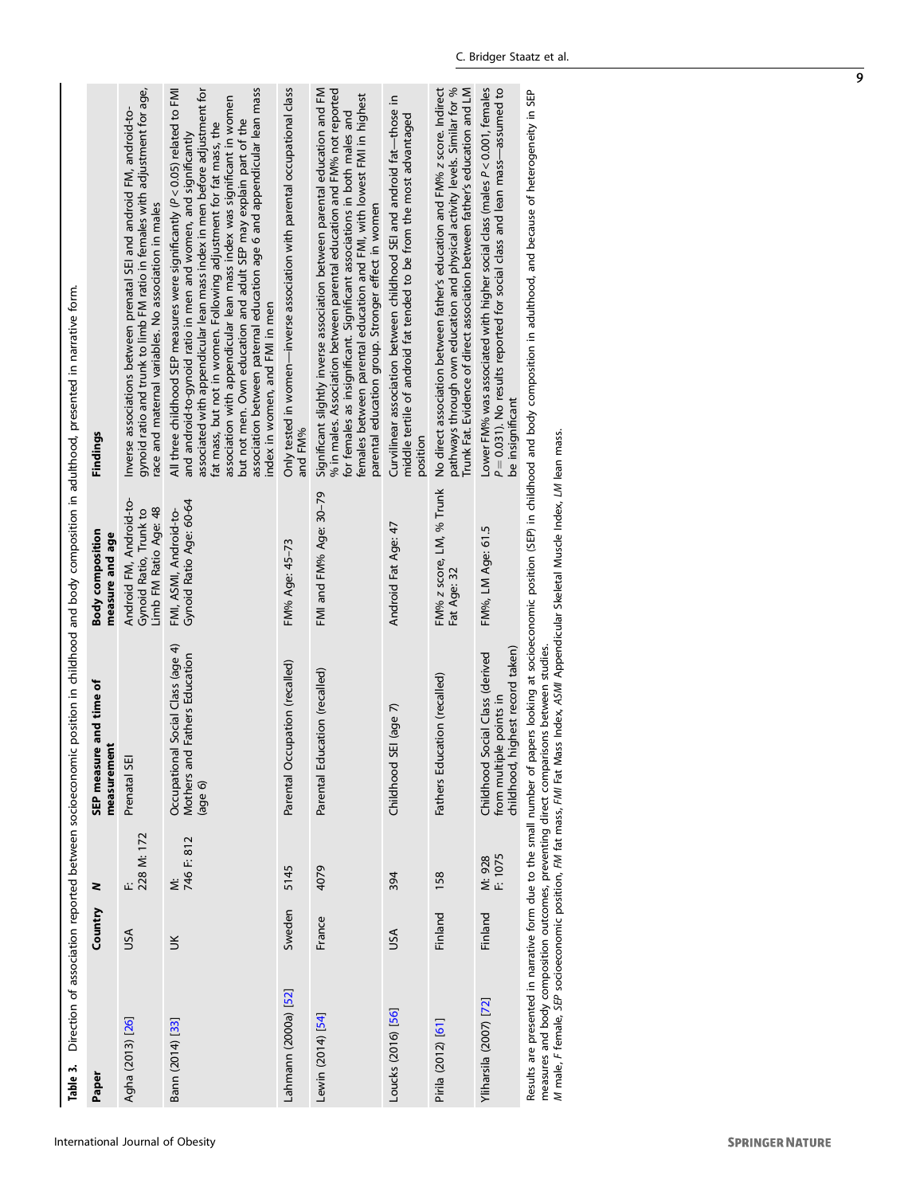Table 3. Direction of association reported between socioeconomic position in childhood and body composition in adulthood, presented in narrative form. Table 3. Direction of association reported between socioeconomic position in childhood and body composition in adulthood, presented in narrative form.

<span id="page-8-0"></span>

| Paper                  | Country | 2                 | SEP measure and time of<br>measurement                                                                                                                                                                                          | <b>Body composition</b><br>measure and age                                 | Findings                                                                                                                                                                                                                                                                                                                                                                                                                                                                                                                                                       |
|------------------------|---------|-------------------|---------------------------------------------------------------------------------------------------------------------------------------------------------------------------------------------------------------------------------|----------------------------------------------------------------------------|----------------------------------------------------------------------------------------------------------------------------------------------------------------------------------------------------------------------------------------------------------------------------------------------------------------------------------------------------------------------------------------------------------------------------------------------------------------------------------------------------------------------------------------------------------------|
| Agha (2013) [26]       | USA     | 228 M: 172<br>نن  | Prenatal SE                                                                                                                                                                                                                     | Android FM, Android-to-<br>Limb FM Ratio Age: 48<br>Gynoid Ratio, Trunk to | gynoid ratio and trunk to limb FM ratio in females with adjustment for age,<br>Inverse associations between prenatal SEI and android FM, android-to-<br>race and matemal variables. No association in males                                                                                                                                                                                                                                                                                                                                                    |
| Bann (2014) [33]       | š       | 746 F: 812<br>έ   | Occupational Social Class (age 4)<br>Mothers and Fathers Education<br>(age 6)                                                                                                                                                   | Gynoid Ratio Age: 60-64<br>FMI, ASMI, Android-to-                          | association between paternal education age 6 and appendicular lean mass<br>All three childhood SEP measures were significantly (P < 0.05) related to FMI<br>associated with appendicular lean mass index in men before adjustment for<br>association with appendicular lean mass index was significant in women<br>but not men. Own education and adult SEP may explain part of the<br>fat mass, but not in women. Following adjustment for fat mass, the<br>and android-to-gynoid ratio in men and women, and significantly<br>index in women, and FMI in men |
| Lahmann (2000a) [52]   | Sweden  | 5145              | Parental Occupation (recalled)                                                                                                                                                                                                  | FM% Age: 45-73                                                             | Only tested in women—inverse association with parental occupational class<br>and FM%                                                                                                                                                                                                                                                                                                                                                                                                                                                                           |
| Lewin (2014) [54]      | France  | 4079              | Parental Education (recalled)                                                                                                                                                                                                   | FMI and FM% Age: 30-79                                                     | Significant slightly inverse association between parental education and FM<br>% in males. Association between parental education and FM% not reported<br>females between parental education and FMI, with lowest FMI in highest<br>for females as insignificant. Significant associations in both males and<br>parental education group. Stronger effect in women                                                                                                                                                                                              |
| Loucks (2016) [56]     | USA     | 394               | SEI (age 7)<br>Childhood                                                                                                                                                                                                        | Android Fat Age: 47                                                        | Curvilinear association between childhood SEI and android fat-those in<br>middle tertile of android fat tended to be from the most advantaged<br>position                                                                                                                                                                                                                                                                                                                                                                                                      |
| Pirila (2012) [61]     | Finland | 158               | Fathers Education (recalled)                                                                                                                                                                                                    | FM% z score, LM, % Trunk<br>Fat Age: 32                                    | No direct association between father's education and FM% z score. Indirect<br>pathways through own education and physical activity levels. Similar for %<br>Trunk Fat. Evidence of direct association between father's education and LM                                                                                                                                                                                                                                                                                                                        |
| Yliharsila (2007) [72] | Finland | F: 1075<br>M: 928 | highest record taken)<br>Social Class (derived<br>from multiple points in<br>Childhood<br>childhood,                                                                                                                            | FM%, LM Age: 61.5                                                          | Lower FM% was associated with higher social class (males $P < 0.001$ , females<br>$P = 0.031$ ). No results reported for social class and lean mass-assumed to<br>be insignificant                                                                                                                                                                                                                                                                                                                                                                             |
|                        |         |                   | M male, F female, SEP socioeconomic position, FM fat mass, FMI Fat Mass Index, ASMI Appendicular Skeletal Muscle Index, LM lean mass.<br>measures and body composition outcomes, preventing direct comparisons between studies. |                                                                            | Results are presented in narrative form due to the small number of papers looking at socioeconomic position (SEP) in childhood and body composition in adulthood, and because of heterogeneity in SEP                                                                                                                                                                                                                                                                                                                                                          |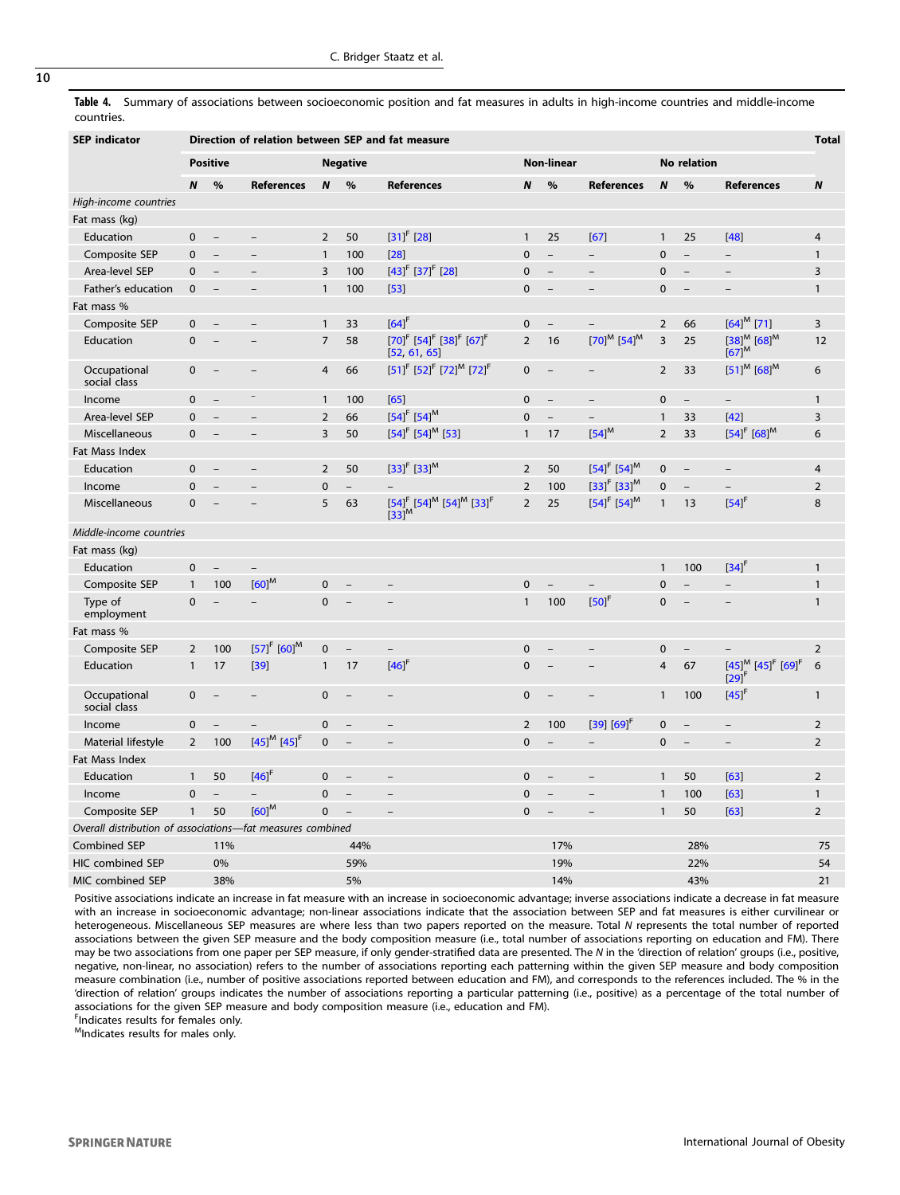Table 4. Summary of associations between socioeconomic position and fat measures in adults in high-income countries and middle-income countries.

| <b>SEP indicator</b>                                       |                | Direction of relation between SEP and fat measure<br><b>Total</b> |                          |                |                          |                                                                                                 |                |                          |                          |                  |                          |                                                                     |                  |  |  |
|------------------------------------------------------------|----------------|-------------------------------------------------------------------|--------------------------|----------------|--------------------------|-------------------------------------------------------------------------------------------------|----------------|--------------------------|--------------------------|------------------|--------------------------|---------------------------------------------------------------------|------------------|--|--|
| <b>Positive</b>                                            |                | <b>Negative</b>                                                   |                          |                | <b>Non-linear</b>        |                                                                                                 |                | <b>No relation</b>       |                          |                  |                          |                                                                     |                  |  |  |
|                                                            | N              | $\%$                                                              | <b>References</b>        | N              | $\%$                     | <b>References</b>                                                                               | N              | %                        | <b>References</b>        | $\boldsymbol{N}$ | $\%$                     | <b>References</b>                                                   | $\boldsymbol{N}$ |  |  |
| High-income countries                                      |                |                                                                   |                          |                |                          |                                                                                                 |                |                          |                          |                  |                          |                                                                     |                  |  |  |
| Fat mass (kg)                                              |                |                                                                   |                          |                |                          |                                                                                                 |                |                          |                          |                  |                          |                                                                     |                  |  |  |
| Education                                                  | $\mathbf 0$    | $\overline{\phantom{a}}$                                          |                          | $\overline{2}$ | 50                       | $[31]^{F}$ [28]                                                                                 | $\mathbf{1}$   | 25                       | [67]                     | $\mathbf{1}$     | 25                       | [48]                                                                | $\overline{4}$   |  |  |
| Composite SEP                                              | $\mathbf 0$    | $\overline{a}$                                                    |                          | $\mathbf{1}$   | 100                      | [28]                                                                                            | $\mathbf 0$    | $\qquad \qquad -$        |                          | $\mathbf 0$      | $\overline{\phantom{0}}$ | $\overline{a}$                                                      | $\mathbf{1}$     |  |  |
| Area-level SEP                                             | $\mathbf 0$    | $\overline{\phantom{a}}$                                          |                          | 3              | 100                      | $[43]$ <sup>F</sup> $[37]$ <sup>F</sup> [28]                                                    | $\mathbf 0$    | $\overline{\phantom{a}}$ | $\equiv$                 | $\mathbf 0$      | $\bar{ }$                | $\equiv$                                                            | 3                |  |  |
| Father's education                                         | $\mathbf 0$    | $\overline{\phantom{m}}$                                          |                          | $\mathbf{1}$   | 100                      | $[53]$                                                                                          | $\mathbf 0$    | $\overline{a}$           |                          | $\mathbf 0$      | $\overline{\phantom{a}}$ | $\overline{\phantom{0}}$                                            | $\mathbf{1}$     |  |  |
| Fat mass %                                                 |                |                                                                   |                          |                |                          |                                                                                                 |                |                          |                          |                  |                          |                                                                     |                  |  |  |
| Composite SEP                                              | $\mathbf 0$    | $\overline{\phantom{a}}$                                          |                          | $\mathbf{1}$   | 33                       | $[64]$ <sup>F</sup>                                                                             | $\mathbf 0$    | $\qquad \qquad -$        | $\overline{\phantom{0}}$ | $\overline{2}$   | 66                       | $[64]^{M}$ [71]                                                     | 3                |  |  |
| Education                                                  | $\mathbf 0$    |                                                                   |                          | $\overline{7}$ | 58                       | $[70]$ <sup>F</sup> $[54]$ <sup>F</sup> $[38]$ <sup>F</sup> $[67]$ <sup>F</sup><br>[52, 61, 65] | $\overline{2}$ | 16                       | $[70]^M$ $[54]^M$        | $\overline{3}$   | 25                       | $\frac{\left[38\right]^{\mathsf{M}}}{\left[67\right]^{\mathsf{M}}}$ | 12               |  |  |
| Occupational<br>social class                               | $\Omega$       | $\overline{\phantom{0}}$                                          |                          | $\overline{4}$ | 66                       | $[51]^{F}$ $[52]^{F}$ $[72]^{M}$ $[72]^{F}$                                                     | $\Omega$       | ÷                        | $\overline{\phantom{0}}$ | $\overline{2}$   | 33                       | $[51]^M$ $[68]^M$                                                   | 6                |  |  |
| Income                                                     | $\Omega$       | $\overline{\phantom{a}}$                                          | $\overline{a}$           | $\mathbf{1}$   | 100                      | [65]                                                                                            | $\mathbf 0$    | $\overline{\phantom{a}}$ |                          | $\mathbf 0$      | $\overline{\phantom{0}}$ | $\overline{\phantom{0}}$                                            | $\mathbf{1}$     |  |  |
| Area-level SEP                                             | $\Omega$       | $\qquad \qquad -$                                                 | $\overline{\phantom{0}}$ | $\overline{2}$ | 66                       | $[54]^{F}$ $[54]^{M}$                                                                           | $\Omega$       | $\qquad \qquad -$        | $\overline{a}$           | $\mathbf{1}$     | 33                       | [42]                                                                | 3                |  |  |
| Miscellaneous                                              | $\mathbf 0$    | $\overline{\phantom{0}}$                                          |                          | 3              | 50                       | $[54]^{F}$ $[54]^{M}$ $[53]$                                                                    | $\mathbf{1}$   | 17                       | $[54]^{M}$               | $\overline{2}$   | 33                       | $[54]^{r}$ $[68]^{M}$                                               | 6                |  |  |
| Fat Mass Index                                             |                |                                                                   |                          |                |                          |                                                                                                 |                |                          |                          |                  |                          |                                                                     |                  |  |  |
| Education                                                  | $\Omega$       | $\overline{a}$                                                    |                          | $\overline{2}$ | 50                       | $[33]^{r}$ $[33]^{M}$                                                                           | $\overline{2}$ | 50                       | $[54]^{F}$ $[54]^{M}$    | $\Omega$         | $\overline{a}$           |                                                                     | $\overline{4}$   |  |  |
| Income                                                     | $\Omega$       | $\overline{\phantom{m}}$                                          |                          | $\pmb{0}$      | $\overline{\phantom{0}}$ |                                                                                                 | $\overline{2}$ | 100                      | $[33]^{F}$ $[33]^{M}$    | $\mathbf 0$      | $\overline{a}$           | -                                                                   | $\overline{2}$   |  |  |
| Miscellaneous                                              | $\mathbf 0$    |                                                                   |                          | 5              | 63                       | $[54]^{F}$ $[54]^{M}$ $[54]^{M}$ $[33]^{F}$<br>$[33]^{M}$                                       | $\overline{2}$ | 25                       | $[54]^{F}$ $[54]^{M}$    | $\mathbf{1}$     | 13                       | $[54]$ <sup>F</sup>                                                 | 8                |  |  |
| Middle-income countries                                    |                |                                                                   |                          |                |                          |                                                                                                 |                |                          |                          |                  |                          |                                                                     |                  |  |  |
| Fat mass (kg)                                              |                |                                                                   |                          |                |                          |                                                                                                 |                |                          |                          |                  |                          |                                                                     |                  |  |  |
| Education                                                  | $\mathbf 0$    | $\overline{\phantom{a}}$                                          |                          |                |                          |                                                                                                 |                |                          |                          | $\mathbf{1}$     | 100                      | $[34]$ <sup>F</sup>                                                 | $\mathbf{1}$     |  |  |
| Composite SEP                                              | $\mathbf{1}$   | 100                                                               | $[60]^{M}$               | $\mathbf 0$    |                          |                                                                                                 | $\mathbf 0$    | $\overline{a}$           |                          | $\mathbf 0$      | $\overline{\phantom{0}}$ | -                                                                   | $\mathbf{1}$     |  |  |
| Type of<br>employment                                      | $\mathbf 0$    | ÷                                                                 | $\overline{a}$           | $\Omega$       | $\overline{a}$           | -                                                                                               | $\mathbf{1}$   | 100                      | $[50]$ <sup>F</sup>      | $\Omega$         | $\overline{a}$           | -                                                                   | $\mathbf{1}$     |  |  |
| Fat mass %                                                 |                |                                                                   |                          |                |                          |                                                                                                 |                |                          |                          |                  |                          |                                                                     |                  |  |  |
| Composite SEP                                              | 2              | 100                                                               | $[57]^{F}$ $[60]^{M}$    | $\mathbf 0$    | $\overline{\phantom{0}}$ |                                                                                                 | 0              | $\overline{\phantom{0}}$ |                          | $\mathbf 0$      | $\overline{\phantom{a}}$ | $\overline{a}$                                                      | 2                |  |  |
| Education                                                  | $\mathbf{1}$   | 17                                                                | [39]                     | $\mathbf{1}$   | 17                       | $[46]$ <sup>F</sup>                                                                             | $\mathbf 0$    |                          |                          | $\overline{4}$   | 67                       | $[45]^{M}$ $[45]^{F}$ $[69]^{F}$<br>$[29]$ <sup>F</sup>             | 6                |  |  |
| Occupational<br>social class                               | $\mathbf 0$    | $\overline{\phantom{m}}$                                          |                          | $\pmb{0}$      | $\overline{\phantom{0}}$ | $\overline{\phantom{0}}$                                                                        | $\mathbf 0$    |                          |                          | $\mathbf{1}$     | 100                      | $[45]$ <sup>F</sup>                                                 | $\mathbf{1}$     |  |  |
| Income                                                     | $\mathbf 0$    | $\qquad \qquad -$                                                 |                          | $\mathbf 0$    | $\qquad \qquad -$        | $\overline{a}$                                                                                  | $\overline{2}$ | 100                      | [39] [69]                | $\mathbf 0$      | $\qquad \qquad -$        | $\overline{a}$                                                      | $\overline{2}$   |  |  |
| Material lifestyle                                         | $\overline{2}$ | 100                                                               | $[45]^{M}$ $[45]^{F}$    | 0              | $\overline{\phantom{0}}$ | $\overline{a}$                                                                                  | $\mathbf 0$    | ÷                        | $\overline{a}$           | $\mathbf 0$      | $\overline{\phantom{0}}$ | $\overline{a}$                                                      | $\overline{2}$   |  |  |
| Fat Mass Index                                             |                |                                                                   |                          |                |                          |                                                                                                 |                |                          |                          |                  |                          |                                                                     |                  |  |  |
| Education                                                  | $\mathbf{1}$   | 50                                                                | [46]                     | $\mathbf 0$    | ÷                        | -                                                                                               | $\Omega$       | ÷                        | $\equiv$                 | $\mathbf{1}$     | 50                       | [63]                                                                | $\overline{2}$   |  |  |
| Income                                                     | $\mathbf 0$    | $\qquad \qquad -$                                                 | $\overline{\phantom{0}}$ | $\mathbf 0$    | $\overline{a}$           | $\overline{a}$                                                                                  | $\mathbf 0$    | $\overline{a}$           |                          | $\mathbf{1}$     | 100                      | [63]                                                                | $\mathbf{1}$     |  |  |
| Composite SEP                                              | $\mathbf{1}$   | 50                                                                | $[60]^{M}$               | $\Omega$       | $\overline{\phantom{a}}$ |                                                                                                 | $\mathbf 0$    | $\overline{\phantom{0}}$ | $\overline{\phantom{0}}$ | $\mathbf{1}$     | 50                       | [63]                                                                | $\overline{2}$   |  |  |
| Overall distribution of associations—fat measures combined |                |                                                                   |                          |                |                          |                                                                                                 |                |                          |                          |                  |                          |                                                                     |                  |  |  |
| Combined SEP                                               |                | 11%                                                               |                          |                | 44%                      |                                                                                                 |                | 17%                      |                          |                  | 28%                      |                                                                     | 75               |  |  |
| HIC combined SEP                                           |                | 0%                                                                |                          |                | 59%                      |                                                                                                 |                | 19%                      |                          |                  | 22%                      |                                                                     | 54               |  |  |
| MIC combined SEP                                           |                | 38%                                                               |                          |                | 5%                       |                                                                                                 |                | 14%                      |                          |                  | 43%                      |                                                                     | 21               |  |  |

Positive associations indicate an increase in fat measure with an increase in socioeconomic advantage; inverse associations indicate a decrease in fat measure with an increase in socioeconomic advantage; non-linear associations indicate that the association between SEP and fat measures is either curvilinear or heterogeneous. Miscellaneous SEP measures are where less than two papers reported on the measure. Total N represents the total number of reported associations between the given SEP measure and the body composition measure (i.e., total number of associations reporting on education and FM). There may be two associations from one paper per SEP measure, if only gender-stratified data are presented. The N in the 'direction of relation' groups (i.e., positive, negative, non-linear, no association) refers to the number of associations reporting each patterning within the given SEP measure and body composition measure combination (i.e., number of positive associations reported between education and FM), and corresponds to the references included. The % in the 'direction of relation' groups indicates the number of associations reporting a particular patterning (i.e., positive) as a percentage of the total number of associations for the given SEP measure and body composition measure (i.e., education and FM).

F Indicates results for females only.

<sup>M</sup>Indicates results for males only.

<span id="page-9-0"></span> $\overline{10}$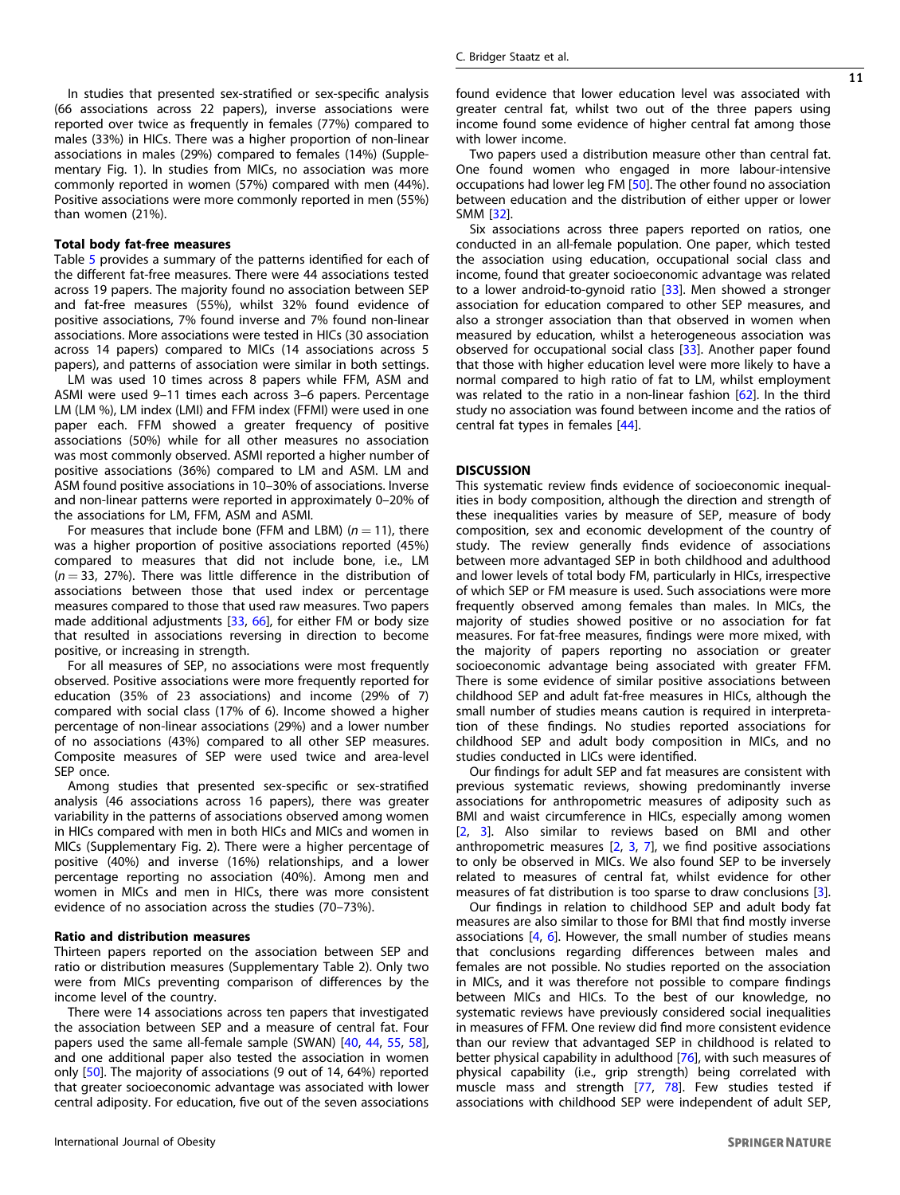## Total body fat-free measures

Table [5](#page-11-0) provides a summary of the patterns identified for each of the different fat-free measures. There were 44 associations tested across 19 papers. The majority found no association between SEP and fat-free measures (55%), whilst 32% found evidence of positive associations, 7% found inverse and 7% found non-linear associations. More associations were tested in HICs (30 association across 14 papers) compared to MICs (14 associations across 5 papers), and patterns of association were similar in both settings.

LM was used 10 times across 8 papers while FFM, ASM and ASMI were used 9–11 times each across 3–6 papers. Percentage LM (LM %), LM index (LMI) and FFM index (FFMI) were used in one paper each. FFM showed a greater frequency of positive associations (50%) while for all other measures no association was most commonly observed. ASMI reported a higher number of positive associations (36%) compared to LM and ASM. LM and ASM found positive associations in 10–30% of associations. Inverse and non-linear patterns were reported in approximately 0–20% of the associations for LM, FFM, ASM and ASMI.

For measures that include bone (FFM and LBM) ( $n = 11$ ), there was a higher proportion of positive associations reported (45%) compared to measures that did not include bone, i.e., LM  $(n = 33, 27%)$ . There was little difference in the distribution of associations between those that used index or percentage measures compared to those that used raw measures. Two papers made additional adjustments [[33](#page-14-0), [66](#page-14-0)], for either FM or body size that resulted in associations reversing in direction to become positive, or increasing in strength.

For all measures of SEP, no associations were most frequently observed. Positive associations were more frequently reported for education (35% of 23 associations) and income (29% of 7) compared with social class (17% of 6). Income showed a higher percentage of non-linear associations (29%) and a lower number of no associations (43%) compared to all other SEP measures. Composite measures of SEP were used twice and area-level SEP once.

Among studies that presented sex-specific or sex-stratified analysis (46 associations across 16 papers), there was greater variability in the patterns of associations observed among women in HICs compared with men in both HICs and MICs and women in MICs (Supplementary Fig. 2). There were a higher percentage of positive (40%) and inverse (16%) relationships, and a lower percentage reporting no association (40%). Among men and women in MICs and men in HICs, there was more consistent evidence of no association across the studies (70–73%).

## Ratio and distribution measures

Thirteen papers reported on the association between SEP and ratio or distribution measures (Supplementary Table 2). Only two were from MICs preventing comparison of differences by the income level of the country.

There were 14 associations across ten papers that investigated the association between SEP and a measure of central fat. Four papers used the same all-female sample (SWAN) [\[40](#page-14-0), [44](#page-14-0), [55](#page-14-0), [58\]](#page-14-0), and one additional paper also tested the association in women only [\[50](#page-14-0)]. The majority of associations (9 out of 14, 64%) reported that greater socioeconomic advantage was associated with lower central adiposity. For education, five out of the seven associations found evidence that lower education level was associated with greater central fat, whilst two out of the three papers using income found some evidence of higher central fat among those with lower income.

Two papers used a distribution measure other than central fat. One found women who engaged in more labour-intensive occupations had lower leg FM [[50\]](#page-14-0). The other found no association between education and the distribution of either upper or lower SMM [\[32](#page-14-0)].

Six associations across three papers reported on ratios, one conducted in an all-female population. One paper, which tested the association using education, occupational social class and income, found that greater socioeconomic advantage was related to a lower android-to-gynoid ratio  $[33]$ . Men showed a stronger association for education compared to other SEP measures, and also a stronger association than that observed in women when measured by education, whilst a heterogeneous association was observed for occupational social class [\[33](#page-14-0)]. Another paper found that those with higher education level were more likely to have a normal compared to high ratio of fat to LM, whilst employment was related to the ratio in a non-linear fashion [\[62](#page-14-0)]. In the third study no association was found between income and the ratios of central fat types in females [[44\]](#page-14-0).

#### **DISCUSSION**

This systematic review finds evidence of socioeconomic inequalities in body composition, although the direction and strength of these inequalities varies by measure of SEP, measure of body composition, sex and economic development of the country of study. The review generally finds evidence of associations between more advantaged SEP in both childhood and adulthood and lower levels of total body FM, particularly in HICs, irrespective of which SEP or FM measure is used. Such associations were more frequently observed among females than males. In MICs, the majority of studies showed positive or no association for fat measures. For fat-free measures, findings were more mixed, with the majority of papers reporting no association or greater socioeconomic advantage being associated with greater FFM. There is some evidence of similar positive associations between childhood SEP and adult fat-free measures in HICs, although the small number of studies means caution is required in interpretation of these findings. No studies reported associations for childhood SEP and adult body composition in MICs, and no studies conducted in LICs were identified.

Our findings for adult SEP and fat measures are consistent with previous systematic reviews, showing predominantly inverse associations for anthropometric measures of adiposity such as BMI and waist circumference in HICs, especially among women [\[2,](#page-13-0) [3\]](#page-13-0). Also similar to reviews based on BMI and other anthropometric measures [\[2,](#page-13-0) [3,](#page-13-0) [7\]](#page-13-0), we find positive associations to only be observed in MICs. We also found SEP to be inversely related to measures of central fat, whilst evidence for other measures of fat distribution is too sparse to draw conclusions [\[3\]](#page-13-0).

Our findings in relation to childhood SEP and adult body fat measures are also similar to those for BMI that find mostly inverse associations [[4](#page-13-0), [6\]](#page-13-0). However, the small number of studies means that conclusions regarding differences between males and females are not possible. No studies reported on the association in MICs, and it was therefore not possible to compare findings between MICs and HICs. To the best of our knowledge, no systematic reviews have previously considered social inequalities in measures of FFM. One review did find more consistent evidence than our review that advantaged SEP in childhood is related to better physical capability in adulthood [\[76\]](#page-14-0), with such measures of physical capability (i.e., grip strength) being correlated with muscle mass and strength [\[77](#page-15-0), [78](#page-15-0)]. Few studies tested if associations with childhood SEP were independent of adult SEP,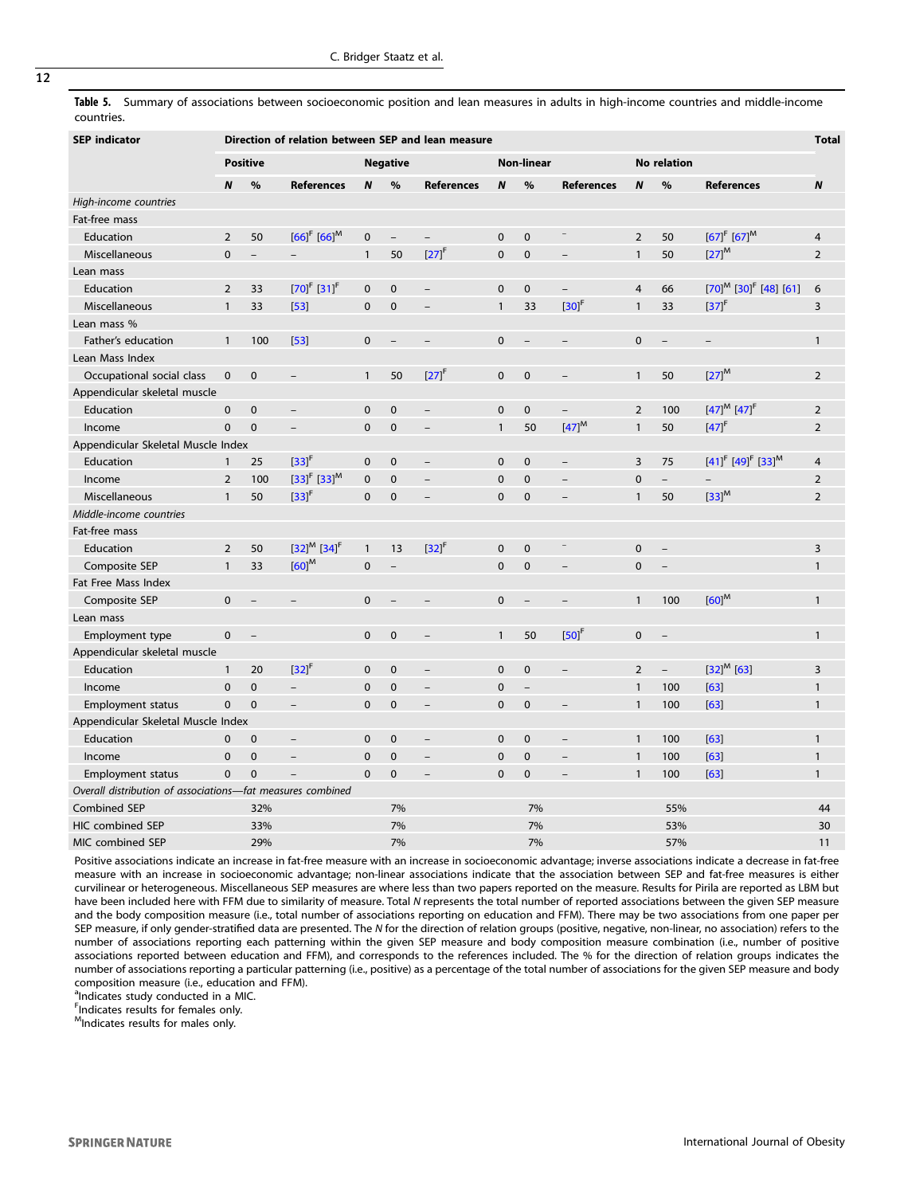<span id="page-11-0"></span>Table 5. Summary of associations between socioeconomic position and lean measures in adults in high-income countries and middle-income countries.

| <b>Positive</b><br><b>Negative</b><br><b>Non-linear</b><br><b>No relation</b><br>$\boldsymbol{N}$<br>$\%$<br>$\%$<br><b>References</b><br>$\boldsymbol{N}$<br>%<br><b>References</b><br>$\boldsymbol{N}$<br>$\%$<br><b>References</b><br><b>References</b><br>$\boldsymbol{N}$<br>$\boldsymbol{N}$<br>High-income countries<br>Fat-free mass<br>$[66]^{F}$ $[66]^{M}$<br>$[67]^{F}$ $[67]^{M}$<br>$\overline{2}$<br>50<br>$\mathsf 0$<br>$\mathbf 0$<br>$\overline{2}$<br>50<br>Education<br>$\mathbf 0$<br>$\overline{a}$<br>4<br>$\overline{\phantom{a}}$<br>$[27]^{M}$<br>$[27]$ <sup>F</sup><br>$\mathbf 0$<br>$\pmb{0}$<br>50<br>$\overline{2}$<br>Miscellaneous<br>$\mathbf{1}$<br>50<br>$\mathbf 0$<br>$\mathbf{1}$<br>Lean mass<br>$[70]^{F}$ $[31]^{F}$<br>$[70]^M$ $[30]^F$ $[48]$ $[61]$<br>Education<br>$\overline{2}$<br>33<br>$\mathbf 0$<br>$\Omega$<br>$\Omega$<br>$\mathbf 0$<br>$\overline{4}$<br>66<br>6<br>$\overline{\phantom{0}}$<br>$[30]$ <sup>F</sup><br>$[37]$ <sup>F</sup><br>Miscellaneous<br>$\mathbf{1}$<br>33<br>[53]<br>$\mathbf 0$<br>$\mathbf 0$<br>$\mathbf{1}$<br>33<br>33<br>$\overline{3}$<br>$\mathbf{1}$<br>$\qquad \qquad -$<br>Lean mass %<br>100<br>$\Omega$<br>$\mathbf 0$<br>Father's education<br>$\mathbf{1}$<br>$[53]$<br>$\mathbf 0$<br>$\mathbf{1}$<br>$\overline{a}$<br>$\overline{\phantom{0}}$<br>L,<br>Lean Mass Index<br>$[27]^{M}$<br>$\mathbf 0$<br>[27]<br>$\pmb{0}$<br>Occupational social class<br>$\mathbf 0$<br>$\mathbf{1}$<br>50<br>$\mathbf 0$<br>$\mathbf{1}$<br>50<br>$\overline{2}$<br>$\overline{a}$<br>Appendicular skeletal muscle<br>$[47]^{M} [47]^{F}$<br>$\mathbf 0$<br>$\mathbf 0$<br>Education<br>$\mathbf 0$<br>$\mathbf 0$<br>$\mathbf 0$<br>$\mathbf 0$<br>$\overline{2}$<br>100<br>$\overline{2}$<br>$\overline{\phantom{0}}$<br>$\overline{\phantom{0}}$<br>$\overline{a}$<br>$[47]^{M}$<br>$\mathbf{0}$<br>$\Omega$<br>$\mathbf 0$<br>50<br>[47]<br>$\overline{2}$<br>$\Omega$<br>50<br>$\mathbf{1}$<br>Income<br>$\mathbf{1}$<br>$\qquad \qquad -$<br>$\overline{\phantom{0}}$<br>Appendicular Skeletal Muscle Index<br>$[41]$ <sup>[</sup> $[49]$ <sup>[</sup> $[33]$ <sup>M</sup><br>$[33]^{F}$<br>25<br>$\mathbf 0$<br>$\mathbf 0$<br>$\mathbf 0$<br>3<br>75<br>Education<br>$\mathbf 0$<br>$\overline{4}$<br>$\mathbf{1}$<br>$\overline{\phantom{0}}$<br>$[33]^{F}$ $[33]^{M}$<br>$\overline{2}$<br>$\mathbf 0$<br>100<br>$\mathbf 0$<br>$\mathbf 0$<br>$\mathbf 0$<br>Income<br>$\mathbf 0$<br>$\overline{2}$<br>$\overline{\phantom{a}}$<br>$\overline{\phantom{0}}$<br>$\overline{\phantom{0}}$<br>$[33]^{M}$<br>[33]<br>Miscellaneous<br>$\mathbf{1}$<br>50<br>$\mathbf 0$<br>$\mathbf 0$<br>$\pmb{0}$<br>$\overline{2}$<br>$\mathbf 0$<br>$\mathbf{1}$<br>50<br>-<br>Middle-income countries<br>Fat-free mass<br>$[32]^{M}$ $[34]^{F}$<br>$[32]$ <sup>F</sup><br>$\overline{2}$<br>$\mathbf{1}$<br>$\Omega$<br>50<br>13<br>$\mathbf 0$<br>$\Omega$<br>$\overline{3}$<br>Education<br>$\overline{\phantom{0}}$<br>$[60]^M$<br>$\mathbf{1}$<br>$\mathbf 0$<br>Composite SEP<br>33<br>$\mathbf 0$<br>$\pmb{0}$<br>$\mathbf 0$<br>$\mathbf{1}$<br>$\overline{\phantom{a}}$<br>$\qquad \qquad -$<br>$\overline{\phantom{0}}$<br>Fat Free Mass Index<br>$[60]^{M}$<br>$\mathbf 0$<br>$\mathbf 0$<br>$\mathbf 0$<br>100<br>Composite SEP<br>$\mathbf{1}$<br>$\mathbf{1}$<br>L.<br>$\overline{\phantom{0}}$<br>$\qquad \qquad -$<br>$\overline{\phantom{0}}$<br>÷<br>Lean mass<br>$\mathbf 0$<br>$\mathbf 0$<br>$\mathbf 0$<br>50<br>[50]<br>$\pmb{0}$<br>Employment type<br>$\mathbf{1}$<br>$\mathbf{1}$<br>$\overline{\phantom{a}}$<br>$\overline{\phantom{0}}$<br>$\overline{\phantom{0}}$<br>Appendicular skeletal muscle<br>$[32]^{M}$ [63]<br>$[32]$ <sup>F</sup><br>$\mathbf 0$<br>Education<br>20<br>$\mathbf 0$<br>$\mathbf 0$<br>$\overline{2}$<br>3<br>$\mathbf{1}$<br>$\mathbf 0$<br>$\equiv$<br>$\overline{\phantom{a}}$<br>$\Omega$<br>$\Omega$<br>$\mathbf 0$<br>$\mathbf 0$<br>$\mathbf 0$<br>[63]<br>$\mathbf{1}$<br>Income<br>$\mathbf{1}$<br>100<br>$\overline{\phantom{0}}$<br>$\qquad \qquad -$<br>$\Omega$<br>$\Omega$<br>$\mathbf 0$<br>$\mathbf 0$<br>$\mathbf 0$<br>$\pmb{0}$<br>$\mathbf{1}$<br>100<br>$\mathbf{1}$<br><b>Employment status</b><br>$\equiv$<br>[63]<br>$\overline{\phantom{0}}$<br>$\overline{\phantom{0}}$<br>Appendicular Skeletal Muscle Index<br>Education<br>$\mathbf 0$<br>$\mathbf 0$<br>$\mathbf 0$<br>$\Omega$<br>$\mathbf 0$<br>$\mathbf 0$<br>$\mathbf{1}$<br>100<br>[63]<br>$\mathbf{1}$<br>$\overline{\phantom{0}}$<br>$\mathbf 0$<br>$\pmb{0}$<br>$\mathbf 0$<br>$\mathbf 0$<br>$\mathbf 0$<br>$\mathbf 0$<br>$\mathbf{1}$<br>100<br>[63]<br>Income<br>$\overline{a}$<br>$\mathbf{1}$<br>$\overline{\phantom{0}}$<br>$\mathbf 0$<br>$\mathbf 0$<br>$\pmb{0}$<br>$\mathbf 0$<br>$\mathbf 0$<br>$\mathbf 0$<br>$\mathbf{1}$<br>[63]<br>$\mathbf{1}$<br><b>Employment status</b><br>100<br>$\overline{\phantom{0}}$<br>$\overline{\phantom{0}}$<br>Overall distribution of associations-fat measures combined<br><b>Combined SEP</b><br>32%<br>7%<br>7%<br>55%<br>44<br>7%<br><b>HIC combined SEP</b><br>33%<br>7%<br>53%<br>30 | <b>SEP indicator</b> |     | Direction of relation between SEP and lean measure |    |  |    |  |     | <b>Total</b> |
|---------------------------------------------------------------------------------------------------------------------------------------------------------------------------------------------------------------------------------------------------------------------------------------------------------------------------------------------------------------------------------------------------------------------------------------------------------------------------------------------------------------------------------------------------------------------------------------------------------------------------------------------------------------------------------------------------------------------------------------------------------------------------------------------------------------------------------------------------------------------------------------------------------------------------------------------------------------------------------------------------------------------------------------------------------------------------------------------------------------------------------------------------------------------------------------------------------------------------------------------------------------------------------------------------------------------------------------------------------------------------------------------------------------------------------------------------------------------------------------------------------------------------------------------------------------------------------------------------------------------------------------------------------------------------------------------------------------------------------------------------------------------------------------------------------------------------------------------------------------------------------------------------------------------------------------------------------------------------------------------------------------------------------------------------------------------------------------------------------------------------------------------------------------------------------------------------------------------------------------------------------------------------------------------------------------------------------------------------------------------------------------------------------------------------------------------------------------------------------------------------------------------------------------------------------------------------------------------------------------------------------------------------------------------------------------------------------------------------------------------------------------------------------------------------------------------------------------------------------------------------------------------------------------------------------------------------------------------------------------------------------------------------------------------------------------------------------------------------------------------------------------------------------------------------------------------------------------------------------------------------------------------------------------------------------------------------------------------------------------------------------------------------------------------------------------------------------------------------------------------------------------------------------------------------------------------------------------------------------------------------------------------------------------------------------------------------------------------------------------------------------------------------------------------------------------------------------------------------------------------------------------------------------------------------------------------------------------------------------------------------------------------------------------------------------------------------------------------------------------------------------------------------------------------------------------------------------------------------------------------------------------------------------------------------------------------------------------------------------------------------------------------------------------------------------------------------------------------------------------------------------------------------------------------------------------------------------------------------------------------------------------------------------------------------------------------------------------------------------------------------------------------------------------------------------------------------------------------------------------------------------------------------------------------------------------------------------------------------------------------------------------------------------------------------------------------------------------------------------------------------------------------------------------------------|----------------------|-----|----------------------------------------------------|----|--|----|--|-----|--------------|
|                                                                                                                                                                                                                                                                                                                                                                                                                                                                                                                                                                                                                                                                                                                                                                                                                                                                                                                                                                                                                                                                                                                                                                                                                                                                                                                                                                                                                                                                                                                                                                                                                                                                                                                                                                                                                                                                                                                                                                                                                                                                                                                                                                                                                                                                                                                                                                                                                                                                                                                                                                                                                                                                                                                                                                                                                                                                                                                                                                                                                                                                                                                                                                                                                                                                                                                                                                                                                                                                                                                                                                                                                                                                                                                                                                                                                                                                                                                                                                                                                                                                                                                                                                                                                                                                                                                                                                                                                                                                                                                                                                                                                                                                                                                                                                                                                                                                                                                                                                                                                                                                                                                                                                           |                      |     |                                                    |    |  |    |  |     |              |
|                                                                                                                                                                                                                                                                                                                                                                                                                                                                                                                                                                                                                                                                                                                                                                                                                                                                                                                                                                                                                                                                                                                                                                                                                                                                                                                                                                                                                                                                                                                                                                                                                                                                                                                                                                                                                                                                                                                                                                                                                                                                                                                                                                                                                                                                                                                                                                                                                                                                                                                                                                                                                                                                                                                                                                                                                                                                                                                                                                                                                                                                                                                                                                                                                                                                                                                                                                                                                                                                                                                                                                                                                                                                                                                                                                                                                                                                                                                                                                                                                                                                                                                                                                                                                                                                                                                                                                                                                                                                                                                                                                                                                                                                                                                                                                                                                                                                                                                                                                                                                                                                                                                                                                           |                      |     |                                                    |    |  |    |  |     |              |
|                                                                                                                                                                                                                                                                                                                                                                                                                                                                                                                                                                                                                                                                                                                                                                                                                                                                                                                                                                                                                                                                                                                                                                                                                                                                                                                                                                                                                                                                                                                                                                                                                                                                                                                                                                                                                                                                                                                                                                                                                                                                                                                                                                                                                                                                                                                                                                                                                                                                                                                                                                                                                                                                                                                                                                                                                                                                                                                                                                                                                                                                                                                                                                                                                                                                                                                                                                                                                                                                                                                                                                                                                                                                                                                                                                                                                                                                                                                                                                                                                                                                                                                                                                                                                                                                                                                                                                                                                                                                                                                                                                                                                                                                                                                                                                                                                                                                                                                                                                                                                                                                                                                                                                           |                      |     |                                                    |    |  |    |  |     |              |
|                                                                                                                                                                                                                                                                                                                                                                                                                                                                                                                                                                                                                                                                                                                                                                                                                                                                                                                                                                                                                                                                                                                                                                                                                                                                                                                                                                                                                                                                                                                                                                                                                                                                                                                                                                                                                                                                                                                                                                                                                                                                                                                                                                                                                                                                                                                                                                                                                                                                                                                                                                                                                                                                                                                                                                                                                                                                                                                                                                                                                                                                                                                                                                                                                                                                                                                                                                                                                                                                                                                                                                                                                                                                                                                                                                                                                                                                                                                                                                                                                                                                                                                                                                                                                                                                                                                                                                                                                                                                                                                                                                                                                                                                                                                                                                                                                                                                                                                                                                                                                                                                                                                                                                           |                      |     |                                                    |    |  |    |  |     |              |
|                                                                                                                                                                                                                                                                                                                                                                                                                                                                                                                                                                                                                                                                                                                                                                                                                                                                                                                                                                                                                                                                                                                                                                                                                                                                                                                                                                                                                                                                                                                                                                                                                                                                                                                                                                                                                                                                                                                                                                                                                                                                                                                                                                                                                                                                                                                                                                                                                                                                                                                                                                                                                                                                                                                                                                                                                                                                                                                                                                                                                                                                                                                                                                                                                                                                                                                                                                                                                                                                                                                                                                                                                                                                                                                                                                                                                                                                                                                                                                                                                                                                                                                                                                                                                                                                                                                                                                                                                                                                                                                                                                                                                                                                                                                                                                                                                                                                                                                                                                                                                                                                                                                                                                           |                      |     |                                                    |    |  |    |  |     |              |
|                                                                                                                                                                                                                                                                                                                                                                                                                                                                                                                                                                                                                                                                                                                                                                                                                                                                                                                                                                                                                                                                                                                                                                                                                                                                                                                                                                                                                                                                                                                                                                                                                                                                                                                                                                                                                                                                                                                                                                                                                                                                                                                                                                                                                                                                                                                                                                                                                                                                                                                                                                                                                                                                                                                                                                                                                                                                                                                                                                                                                                                                                                                                                                                                                                                                                                                                                                                                                                                                                                                                                                                                                                                                                                                                                                                                                                                                                                                                                                                                                                                                                                                                                                                                                                                                                                                                                                                                                                                                                                                                                                                                                                                                                                                                                                                                                                                                                                                                                                                                                                                                                                                                                                           |                      |     |                                                    |    |  |    |  |     |              |
|                                                                                                                                                                                                                                                                                                                                                                                                                                                                                                                                                                                                                                                                                                                                                                                                                                                                                                                                                                                                                                                                                                                                                                                                                                                                                                                                                                                                                                                                                                                                                                                                                                                                                                                                                                                                                                                                                                                                                                                                                                                                                                                                                                                                                                                                                                                                                                                                                                                                                                                                                                                                                                                                                                                                                                                                                                                                                                                                                                                                                                                                                                                                                                                                                                                                                                                                                                                                                                                                                                                                                                                                                                                                                                                                                                                                                                                                                                                                                                                                                                                                                                                                                                                                                                                                                                                                                                                                                                                                                                                                                                                                                                                                                                                                                                                                                                                                                                                                                                                                                                                                                                                                                                           |                      |     |                                                    |    |  |    |  |     |              |
|                                                                                                                                                                                                                                                                                                                                                                                                                                                                                                                                                                                                                                                                                                                                                                                                                                                                                                                                                                                                                                                                                                                                                                                                                                                                                                                                                                                                                                                                                                                                                                                                                                                                                                                                                                                                                                                                                                                                                                                                                                                                                                                                                                                                                                                                                                                                                                                                                                                                                                                                                                                                                                                                                                                                                                                                                                                                                                                                                                                                                                                                                                                                                                                                                                                                                                                                                                                                                                                                                                                                                                                                                                                                                                                                                                                                                                                                                                                                                                                                                                                                                                                                                                                                                                                                                                                                                                                                                                                                                                                                                                                                                                                                                                                                                                                                                                                                                                                                                                                                                                                                                                                                                                           |                      |     |                                                    |    |  |    |  |     |              |
|                                                                                                                                                                                                                                                                                                                                                                                                                                                                                                                                                                                                                                                                                                                                                                                                                                                                                                                                                                                                                                                                                                                                                                                                                                                                                                                                                                                                                                                                                                                                                                                                                                                                                                                                                                                                                                                                                                                                                                                                                                                                                                                                                                                                                                                                                                                                                                                                                                                                                                                                                                                                                                                                                                                                                                                                                                                                                                                                                                                                                                                                                                                                                                                                                                                                                                                                                                                                                                                                                                                                                                                                                                                                                                                                                                                                                                                                                                                                                                                                                                                                                                                                                                                                                                                                                                                                                                                                                                                                                                                                                                                                                                                                                                                                                                                                                                                                                                                                                                                                                                                                                                                                                                           |                      |     |                                                    |    |  |    |  |     |              |
|                                                                                                                                                                                                                                                                                                                                                                                                                                                                                                                                                                                                                                                                                                                                                                                                                                                                                                                                                                                                                                                                                                                                                                                                                                                                                                                                                                                                                                                                                                                                                                                                                                                                                                                                                                                                                                                                                                                                                                                                                                                                                                                                                                                                                                                                                                                                                                                                                                                                                                                                                                                                                                                                                                                                                                                                                                                                                                                                                                                                                                                                                                                                                                                                                                                                                                                                                                                                                                                                                                                                                                                                                                                                                                                                                                                                                                                                                                                                                                                                                                                                                                                                                                                                                                                                                                                                                                                                                                                                                                                                                                                                                                                                                                                                                                                                                                                                                                                                                                                                                                                                                                                                                                           |                      |     |                                                    |    |  |    |  |     |              |
|                                                                                                                                                                                                                                                                                                                                                                                                                                                                                                                                                                                                                                                                                                                                                                                                                                                                                                                                                                                                                                                                                                                                                                                                                                                                                                                                                                                                                                                                                                                                                                                                                                                                                                                                                                                                                                                                                                                                                                                                                                                                                                                                                                                                                                                                                                                                                                                                                                                                                                                                                                                                                                                                                                                                                                                                                                                                                                                                                                                                                                                                                                                                                                                                                                                                                                                                                                                                                                                                                                                                                                                                                                                                                                                                                                                                                                                                                                                                                                                                                                                                                                                                                                                                                                                                                                                                                                                                                                                                                                                                                                                                                                                                                                                                                                                                                                                                                                                                                                                                                                                                                                                                                                           |                      |     |                                                    |    |  |    |  |     |              |
|                                                                                                                                                                                                                                                                                                                                                                                                                                                                                                                                                                                                                                                                                                                                                                                                                                                                                                                                                                                                                                                                                                                                                                                                                                                                                                                                                                                                                                                                                                                                                                                                                                                                                                                                                                                                                                                                                                                                                                                                                                                                                                                                                                                                                                                                                                                                                                                                                                                                                                                                                                                                                                                                                                                                                                                                                                                                                                                                                                                                                                                                                                                                                                                                                                                                                                                                                                                                                                                                                                                                                                                                                                                                                                                                                                                                                                                                                                                                                                                                                                                                                                                                                                                                                                                                                                                                                                                                                                                                                                                                                                                                                                                                                                                                                                                                                                                                                                                                                                                                                                                                                                                                                                           |                      |     |                                                    |    |  |    |  |     |              |
|                                                                                                                                                                                                                                                                                                                                                                                                                                                                                                                                                                                                                                                                                                                                                                                                                                                                                                                                                                                                                                                                                                                                                                                                                                                                                                                                                                                                                                                                                                                                                                                                                                                                                                                                                                                                                                                                                                                                                                                                                                                                                                                                                                                                                                                                                                                                                                                                                                                                                                                                                                                                                                                                                                                                                                                                                                                                                                                                                                                                                                                                                                                                                                                                                                                                                                                                                                                                                                                                                                                                                                                                                                                                                                                                                                                                                                                                                                                                                                                                                                                                                                                                                                                                                                                                                                                                                                                                                                                                                                                                                                                                                                                                                                                                                                                                                                                                                                                                                                                                                                                                                                                                                                           |                      |     |                                                    |    |  |    |  |     |              |
|                                                                                                                                                                                                                                                                                                                                                                                                                                                                                                                                                                                                                                                                                                                                                                                                                                                                                                                                                                                                                                                                                                                                                                                                                                                                                                                                                                                                                                                                                                                                                                                                                                                                                                                                                                                                                                                                                                                                                                                                                                                                                                                                                                                                                                                                                                                                                                                                                                                                                                                                                                                                                                                                                                                                                                                                                                                                                                                                                                                                                                                                                                                                                                                                                                                                                                                                                                                                                                                                                                                                                                                                                                                                                                                                                                                                                                                                                                                                                                                                                                                                                                                                                                                                                                                                                                                                                                                                                                                                                                                                                                                                                                                                                                                                                                                                                                                                                                                                                                                                                                                                                                                                                                           |                      |     |                                                    |    |  |    |  |     |              |
|                                                                                                                                                                                                                                                                                                                                                                                                                                                                                                                                                                                                                                                                                                                                                                                                                                                                                                                                                                                                                                                                                                                                                                                                                                                                                                                                                                                                                                                                                                                                                                                                                                                                                                                                                                                                                                                                                                                                                                                                                                                                                                                                                                                                                                                                                                                                                                                                                                                                                                                                                                                                                                                                                                                                                                                                                                                                                                                                                                                                                                                                                                                                                                                                                                                                                                                                                                                                                                                                                                                                                                                                                                                                                                                                                                                                                                                                                                                                                                                                                                                                                                                                                                                                                                                                                                                                                                                                                                                                                                                                                                                                                                                                                                                                                                                                                                                                                                                                                                                                                                                                                                                                                                           |                      |     |                                                    |    |  |    |  |     |              |
|                                                                                                                                                                                                                                                                                                                                                                                                                                                                                                                                                                                                                                                                                                                                                                                                                                                                                                                                                                                                                                                                                                                                                                                                                                                                                                                                                                                                                                                                                                                                                                                                                                                                                                                                                                                                                                                                                                                                                                                                                                                                                                                                                                                                                                                                                                                                                                                                                                                                                                                                                                                                                                                                                                                                                                                                                                                                                                                                                                                                                                                                                                                                                                                                                                                                                                                                                                                                                                                                                                                                                                                                                                                                                                                                                                                                                                                                                                                                                                                                                                                                                                                                                                                                                                                                                                                                                                                                                                                                                                                                                                                                                                                                                                                                                                                                                                                                                                                                                                                                                                                                                                                                                                           |                      |     |                                                    |    |  |    |  |     |              |
|                                                                                                                                                                                                                                                                                                                                                                                                                                                                                                                                                                                                                                                                                                                                                                                                                                                                                                                                                                                                                                                                                                                                                                                                                                                                                                                                                                                                                                                                                                                                                                                                                                                                                                                                                                                                                                                                                                                                                                                                                                                                                                                                                                                                                                                                                                                                                                                                                                                                                                                                                                                                                                                                                                                                                                                                                                                                                                                                                                                                                                                                                                                                                                                                                                                                                                                                                                                                                                                                                                                                                                                                                                                                                                                                                                                                                                                                                                                                                                                                                                                                                                                                                                                                                                                                                                                                                                                                                                                                                                                                                                                                                                                                                                                                                                                                                                                                                                                                                                                                                                                                                                                                                                           |                      |     |                                                    |    |  |    |  |     |              |
|                                                                                                                                                                                                                                                                                                                                                                                                                                                                                                                                                                                                                                                                                                                                                                                                                                                                                                                                                                                                                                                                                                                                                                                                                                                                                                                                                                                                                                                                                                                                                                                                                                                                                                                                                                                                                                                                                                                                                                                                                                                                                                                                                                                                                                                                                                                                                                                                                                                                                                                                                                                                                                                                                                                                                                                                                                                                                                                                                                                                                                                                                                                                                                                                                                                                                                                                                                                                                                                                                                                                                                                                                                                                                                                                                                                                                                                                                                                                                                                                                                                                                                                                                                                                                                                                                                                                                                                                                                                                                                                                                                                                                                                                                                                                                                                                                                                                                                                                                                                                                                                                                                                                                                           |                      |     |                                                    |    |  |    |  |     |              |
|                                                                                                                                                                                                                                                                                                                                                                                                                                                                                                                                                                                                                                                                                                                                                                                                                                                                                                                                                                                                                                                                                                                                                                                                                                                                                                                                                                                                                                                                                                                                                                                                                                                                                                                                                                                                                                                                                                                                                                                                                                                                                                                                                                                                                                                                                                                                                                                                                                                                                                                                                                                                                                                                                                                                                                                                                                                                                                                                                                                                                                                                                                                                                                                                                                                                                                                                                                                                                                                                                                                                                                                                                                                                                                                                                                                                                                                                                                                                                                                                                                                                                                                                                                                                                                                                                                                                                                                                                                                                                                                                                                                                                                                                                                                                                                                                                                                                                                                                                                                                                                                                                                                                                                           |                      |     |                                                    |    |  |    |  |     |              |
|                                                                                                                                                                                                                                                                                                                                                                                                                                                                                                                                                                                                                                                                                                                                                                                                                                                                                                                                                                                                                                                                                                                                                                                                                                                                                                                                                                                                                                                                                                                                                                                                                                                                                                                                                                                                                                                                                                                                                                                                                                                                                                                                                                                                                                                                                                                                                                                                                                                                                                                                                                                                                                                                                                                                                                                                                                                                                                                                                                                                                                                                                                                                                                                                                                                                                                                                                                                                                                                                                                                                                                                                                                                                                                                                                                                                                                                                                                                                                                                                                                                                                                                                                                                                                                                                                                                                                                                                                                                                                                                                                                                                                                                                                                                                                                                                                                                                                                                                                                                                                                                                                                                                                                           |                      |     |                                                    |    |  |    |  |     |              |
|                                                                                                                                                                                                                                                                                                                                                                                                                                                                                                                                                                                                                                                                                                                                                                                                                                                                                                                                                                                                                                                                                                                                                                                                                                                                                                                                                                                                                                                                                                                                                                                                                                                                                                                                                                                                                                                                                                                                                                                                                                                                                                                                                                                                                                                                                                                                                                                                                                                                                                                                                                                                                                                                                                                                                                                                                                                                                                                                                                                                                                                                                                                                                                                                                                                                                                                                                                                                                                                                                                                                                                                                                                                                                                                                                                                                                                                                                                                                                                                                                                                                                                                                                                                                                                                                                                                                                                                                                                                                                                                                                                                                                                                                                                                                                                                                                                                                                                                                                                                                                                                                                                                                                                           |                      |     |                                                    |    |  |    |  |     |              |
|                                                                                                                                                                                                                                                                                                                                                                                                                                                                                                                                                                                                                                                                                                                                                                                                                                                                                                                                                                                                                                                                                                                                                                                                                                                                                                                                                                                                                                                                                                                                                                                                                                                                                                                                                                                                                                                                                                                                                                                                                                                                                                                                                                                                                                                                                                                                                                                                                                                                                                                                                                                                                                                                                                                                                                                                                                                                                                                                                                                                                                                                                                                                                                                                                                                                                                                                                                                                                                                                                                                                                                                                                                                                                                                                                                                                                                                                                                                                                                                                                                                                                                                                                                                                                                                                                                                                                                                                                                                                                                                                                                                                                                                                                                                                                                                                                                                                                                                                                                                                                                                                                                                                                                           |                      |     |                                                    |    |  |    |  |     |              |
|                                                                                                                                                                                                                                                                                                                                                                                                                                                                                                                                                                                                                                                                                                                                                                                                                                                                                                                                                                                                                                                                                                                                                                                                                                                                                                                                                                                                                                                                                                                                                                                                                                                                                                                                                                                                                                                                                                                                                                                                                                                                                                                                                                                                                                                                                                                                                                                                                                                                                                                                                                                                                                                                                                                                                                                                                                                                                                                                                                                                                                                                                                                                                                                                                                                                                                                                                                                                                                                                                                                                                                                                                                                                                                                                                                                                                                                                                                                                                                                                                                                                                                                                                                                                                                                                                                                                                                                                                                                                                                                                                                                                                                                                                                                                                                                                                                                                                                                                                                                                                                                                                                                                                                           |                      |     |                                                    |    |  |    |  |     |              |
|                                                                                                                                                                                                                                                                                                                                                                                                                                                                                                                                                                                                                                                                                                                                                                                                                                                                                                                                                                                                                                                                                                                                                                                                                                                                                                                                                                                                                                                                                                                                                                                                                                                                                                                                                                                                                                                                                                                                                                                                                                                                                                                                                                                                                                                                                                                                                                                                                                                                                                                                                                                                                                                                                                                                                                                                                                                                                                                                                                                                                                                                                                                                                                                                                                                                                                                                                                                                                                                                                                                                                                                                                                                                                                                                                                                                                                                                                                                                                                                                                                                                                                                                                                                                                                                                                                                                                                                                                                                                                                                                                                                                                                                                                                                                                                                                                                                                                                                                                                                                                                                                                                                                                                           |                      |     |                                                    |    |  |    |  |     |              |
|                                                                                                                                                                                                                                                                                                                                                                                                                                                                                                                                                                                                                                                                                                                                                                                                                                                                                                                                                                                                                                                                                                                                                                                                                                                                                                                                                                                                                                                                                                                                                                                                                                                                                                                                                                                                                                                                                                                                                                                                                                                                                                                                                                                                                                                                                                                                                                                                                                                                                                                                                                                                                                                                                                                                                                                                                                                                                                                                                                                                                                                                                                                                                                                                                                                                                                                                                                                                                                                                                                                                                                                                                                                                                                                                                                                                                                                                                                                                                                                                                                                                                                                                                                                                                                                                                                                                                                                                                                                                                                                                                                                                                                                                                                                                                                                                                                                                                                                                                                                                                                                                                                                                                                           |                      |     |                                                    |    |  |    |  |     |              |
|                                                                                                                                                                                                                                                                                                                                                                                                                                                                                                                                                                                                                                                                                                                                                                                                                                                                                                                                                                                                                                                                                                                                                                                                                                                                                                                                                                                                                                                                                                                                                                                                                                                                                                                                                                                                                                                                                                                                                                                                                                                                                                                                                                                                                                                                                                                                                                                                                                                                                                                                                                                                                                                                                                                                                                                                                                                                                                                                                                                                                                                                                                                                                                                                                                                                                                                                                                                                                                                                                                                                                                                                                                                                                                                                                                                                                                                                                                                                                                                                                                                                                                                                                                                                                                                                                                                                                                                                                                                                                                                                                                                                                                                                                                                                                                                                                                                                                                                                                                                                                                                                                                                                                                           |                      |     |                                                    |    |  |    |  |     |              |
|                                                                                                                                                                                                                                                                                                                                                                                                                                                                                                                                                                                                                                                                                                                                                                                                                                                                                                                                                                                                                                                                                                                                                                                                                                                                                                                                                                                                                                                                                                                                                                                                                                                                                                                                                                                                                                                                                                                                                                                                                                                                                                                                                                                                                                                                                                                                                                                                                                                                                                                                                                                                                                                                                                                                                                                                                                                                                                                                                                                                                                                                                                                                                                                                                                                                                                                                                                                                                                                                                                                                                                                                                                                                                                                                                                                                                                                                                                                                                                                                                                                                                                                                                                                                                                                                                                                                                                                                                                                                                                                                                                                                                                                                                                                                                                                                                                                                                                                                                                                                                                                                                                                                                                           |                      |     |                                                    |    |  |    |  |     |              |
|                                                                                                                                                                                                                                                                                                                                                                                                                                                                                                                                                                                                                                                                                                                                                                                                                                                                                                                                                                                                                                                                                                                                                                                                                                                                                                                                                                                                                                                                                                                                                                                                                                                                                                                                                                                                                                                                                                                                                                                                                                                                                                                                                                                                                                                                                                                                                                                                                                                                                                                                                                                                                                                                                                                                                                                                                                                                                                                                                                                                                                                                                                                                                                                                                                                                                                                                                                                                                                                                                                                                                                                                                                                                                                                                                                                                                                                                                                                                                                                                                                                                                                                                                                                                                                                                                                                                                                                                                                                                                                                                                                                                                                                                                                                                                                                                                                                                                                                                                                                                                                                                                                                                                                           |                      |     |                                                    |    |  |    |  |     |              |
|                                                                                                                                                                                                                                                                                                                                                                                                                                                                                                                                                                                                                                                                                                                                                                                                                                                                                                                                                                                                                                                                                                                                                                                                                                                                                                                                                                                                                                                                                                                                                                                                                                                                                                                                                                                                                                                                                                                                                                                                                                                                                                                                                                                                                                                                                                                                                                                                                                                                                                                                                                                                                                                                                                                                                                                                                                                                                                                                                                                                                                                                                                                                                                                                                                                                                                                                                                                                                                                                                                                                                                                                                                                                                                                                                                                                                                                                                                                                                                                                                                                                                                                                                                                                                                                                                                                                                                                                                                                                                                                                                                                                                                                                                                                                                                                                                                                                                                                                                                                                                                                                                                                                                                           |                      |     |                                                    |    |  |    |  |     |              |
|                                                                                                                                                                                                                                                                                                                                                                                                                                                                                                                                                                                                                                                                                                                                                                                                                                                                                                                                                                                                                                                                                                                                                                                                                                                                                                                                                                                                                                                                                                                                                                                                                                                                                                                                                                                                                                                                                                                                                                                                                                                                                                                                                                                                                                                                                                                                                                                                                                                                                                                                                                                                                                                                                                                                                                                                                                                                                                                                                                                                                                                                                                                                                                                                                                                                                                                                                                                                                                                                                                                                                                                                                                                                                                                                                                                                                                                                                                                                                                                                                                                                                                                                                                                                                                                                                                                                                                                                                                                                                                                                                                                                                                                                                                                                                                                                                                                                                                                                                                                                                                                                                                                                                                           |                      |     |                                                    |    |  |    |  |     |              |
|                                                                                                                                                                                                                                                                                                                                                                                                                                                                                                                                                                                                                                                                                                                                                                                                                                                                                                                                                                                                                                                                                                                                                                                                                                                                                                                                                                                                                                                                                                                                                                                                                                                                                                                                                                                                                                                                                                                                                                                                                                                                                                                                                                                                                                                                                                                                                                                                                                                                                                                                                                                                                                                                                                                                                                                                                                                                                                                                                                                                                                                                                                                                                                                                                                                                                                                                                                                                                                                                                                                                                                                                                                                                                                                                                                                                                                                                                                                                                                                                                                                                                                                                                                                                                                                                                                                                                                                                                                                                                                                                                                                                                                                                                                                                                                                                                                                                                                                                                                                                                                                                                                                                                                           |                      |     |                                                    |    |  |    |  |     |              |
|                                                                                                                                                                                                                                                                                                                                                                                                                                                                                                                                                                                                                                                                                                                                                                                                                                                                                                                                                                                                                                                                                                                                                                                                                                                                                                                                                                                                                                                                                                                                                                                                                                                                                                                                                                                                                                                                                                                                                                                                                                                                                                                                                                                                                                                                                                                                                                                                                                                                                                                                                                                                                                                                                                                                                                                                                                                                                                                                                                                                                                                                                                                                                                                                                                                                                                                                                                                                                                                                                                                                                                                                                                                                                                                                                                                                                                                                                                                                                                                                                                                                                                                                                                                                                                                                                                                                                                                                                                                                                                                                                                                                                                                                                                                                                                                                                                                                                                                                                                                                                                                                                                                                                                           |                      |     |                                                    |    |  |    |  |     |              |
|                                                                                                                                                                                                                                                                                                                                                                                                                                                                                                                                                                                                                                                                                                                                                                                                                                                                                                                                                                                                                                                                                                                                                                                                                                                                                                                                                                                                                                                                                                                                                                                                                                                                                                                                                                                                                                                                                                                                                                                                                                                                                                                                                                                                                                                                                                                                                                                                                                                                                                                                                                                                                                                                                                                                                                                                                                                                                                                                                                                                                                                                                                                                                                                                                                                                                                                                                                                                                                                                                                                                                                                                                                                                                                                                                                                                                                                                                                                                                                                                                                                                                                                                                                                                                                                                                                                                                                                                                                                                                                                                                                                                                                                                                                                                                                                                                                                                                                                                                                                                                                                                                                                                                                           |                      |     |                                                    |    |  |    |  |     |              |
|                                                                                                                                                                                                                                                                                                                                                                                                                                                                                                                                                                                                                                                                                                                                                                                                                                                                                                                                                                                                                                                                                                                                                                                                                                                                                                                                                                                                                                                                                                                                                                                                                                                                                                                                                                                                                                                                                                                                                                                                                                                                                                                                                                                                                                                                                                                                                                                                                                                                                                                                                                                                                                                                                                                                                                                                                                                                                                                                                                                                                                                                                                                                                                                                                                                                                                                                                                                                                                                                                                                                                                                                                                                                                                                                                                                                                                                                                                                                                                                                                                                                                                                                                                                                                                                                                                                                                                                                                                                                                                                                                                                                                                                                                                                                                                                                                                                                                                                                                                                                                                                                                                                                                                           |                      |     |                                                    |    |  |    |  |     |              |
|                                                                                                                                                                                                                                                                                                                                                                                                                                                                                                                                                                                                                                                                                                                                                                                                                                                                                                                                                                                                                                                                                                                                                                                                                                                                                                                                                                                                                                                                                                                                                                                                                                                                                                                                                                                                                                                                                                                                                                                                                                                                                                                                                                                                                                                                                                                                                                                                                                                                                                                                                                                                                                                                                                                                                                                                                                                                                                                                                                                                                                                                                                                                                                                                                                                                                                                                                                                                                                                                                                                                                                                                                                                                                                                                                                                                                                                                                                                                                                                                                                                                                                                                                                                                                                                                                                                                                                                                                                                                                                                                                                                                                                                                                                                                                                                                                                                                                                                                                                                                                                                                                                                                                                           |                      |     |                                                    |    |  |    |  |     |              |
|                                                                                                                                                                                                                                                                                                                                                                                                                                                                                                                                                                                                                                                                                                                                                                                                                                                                                                                                                                                                                                                                                                                                                                                                                                                                                                                                                                                                                                                                                                                                                                                                                                                                                                                                                                                                                                                                                                                                                                                                                                                                                                                                                                                                                                                                                                                                                                                                                                                                                                                                                                                                                                                                                                                                                                                                                                                                                                                                                                                                                                                                                                                                                                                                                                                                                                                                                                                                                                                                                                                                                                                                                                                                                                                                                                                                                                                                                                                                                                                                                                                                                                                                                                                                                                                                                                                                                                                                                                                                                                                                                                                                                                                                                                                                                                                                                                                                                                                                                                                                                                                                                                                                                                           |                      |     |                                                    |    |  |    |  |     |              |
|                                                                                                                                                                                                                                                                                                                                                                                                                                                                                                                                                                                                                                                                                                                                                                                                                                                                                                                                                                                                                                                                                                                                                                                                                                                                                                                                                                                                                                                                                                                                                                                                                                                                                                                                                                                                                                                                                                                                                                                                                                                                                                                                                                                                                                                                                                                                                                                                                                                                                                                                                                                                                                                                                                                                                                                                                                                                                                                                                                                                                                                                                                                                                                                                                                                                                                                                                                                                                                                                                                                                                                                                                                                                                                                                                                                                                                                                                                                                                                                                                                                                                                                                                                                                                                                                                                                                                                                                                                                                                                                                                                                                                                                                                                                                                                                                                                                                                                                                                                                                                                                                                                                                                                           |                      |     |                                                    |    |  |    |  |     |              |
|                                                                                                                                                                                                                                                                                                                                                                                                                                                                                                                                                                                                                                                                                                                                                                                                                                                                                                                                                                                                                                                                                                                                                                                                                                                                                                                                                                                                                                                                                                                                                                                                                                                                                                                                                                                                                                                                                                                                                                                                                                                                                                                                                                                                                                                                                                                                                                                                                                                                                                                                                                                                                                                                                                                                                                                                                                                                                                                                                                                                                                                                                                                                                                                                                                                                                                                                                                                                                                                                                                                                                                                                                                                                                                                                                                                                                                                                                                                                                                                                                                                                                                                                                                                                                                                                                                                                                                                                                                                                                                                                                                                                                                                                                                                                                                                                                                                                                                                                                                                                                                                                                                                                                                           |                      |     |                                                    |    |  |    |  |     |              |
|                                                                                                                                                                                                                                                                                                                                                                                                                                                                                                                                                                                                                                                                                                                                                                                                                                                                                                                                                                                                                                                                                                                                                                                                                                                                                                                                                                                                                                                                                                                                                                                                                                                                                                                                                                                                                                                                                                                                                                                                                                                                                                                                                                                                                                                                                                                                                                                                                                                                                                                                                                                                                                                                                                                                                                                                                                                                                                                                                                                                                                                                                                                                                                                                                                                                                                                                                                                                                                                                                                                                                                                                                                                                                                                                                                                                                                                                                                                                                                                                                                                                                                                                                                                                                                                                                                                                                                                                                                                                                                                                                                                                                                                                                                                                                                                                                                                                                                                                                                                                                                                                                                                                                                           |                      |     |                                                    |    |  |    |  |     |              |
|                                                                                                                                                                                                                                                                                                                                                                                                                                                                                                                                                                                                                                                                                                                                                                                                                                                                                                                                                                                                                                                                                                                                                                                                                                                                                                                                                                                                                                                                                                                                                                                                                                                                                                                                                                                                                                                                                                                                                                                                                                                                                                                                                                                                                                                                                                                                                                                                                                                                                                                                                                                                                                                                                                                                                                                                                                                                                                                                                                                                                                                                                                                                                                                                                                                                                                                                                                                                                                                                                                                                                                                                                                                                                                                                                                                                                                                                                                                                                                                                                                                                                                                                                                                                                                                                                                                                                                                                                                                                                                                                                                                                                                                                                                                                                                                                                                                                                                                                                                                                                                                                                                                                                                           | MIC combined SEP     | 29% |                                                    | 7% |  | 7% |  | 57% | 11           |

Positive associations indicate an increase in fat-free measure with an increase in socioeconomic advantage; inverse associations indicate a decrease in fat-free measure with an increase in socioeconomic advantage; non-linear associations indicate that the association between SEP and fat-free measures is either curvilinear or heterogeneous. Miscellaneous SEP measures are where less than two papers reported on the measure. Results for Pirila are reported as LBM but have been included here with FFM due to similarity of measure. Total N represents the total number of reported associations between the given SEP measure and the body composition measure (i.e., total number of associations reporting on education and FFM). There may be two associations from one paper per SEP measure, if only gender-stratified data are presented. The N for the direction of relation groups (positive, negative, non-linear, no association) refers to the number of associations reporting each patterning within the given SEP measure and body composition measure combination (i.e., number of positive associations reported between education and FFM), and corresponds to the references included. The % for the direction of relation groups indicates the number of associations reporting a particular patterning (i.e., positive) as a percentage of the total number of associations for the given SEP measure and body composition measure (i.e., education and FFM).

<sup>a</sup>Indicates study conducted in a MIC.

F Indicates results for females only.

 $M$ Indicates results for males only.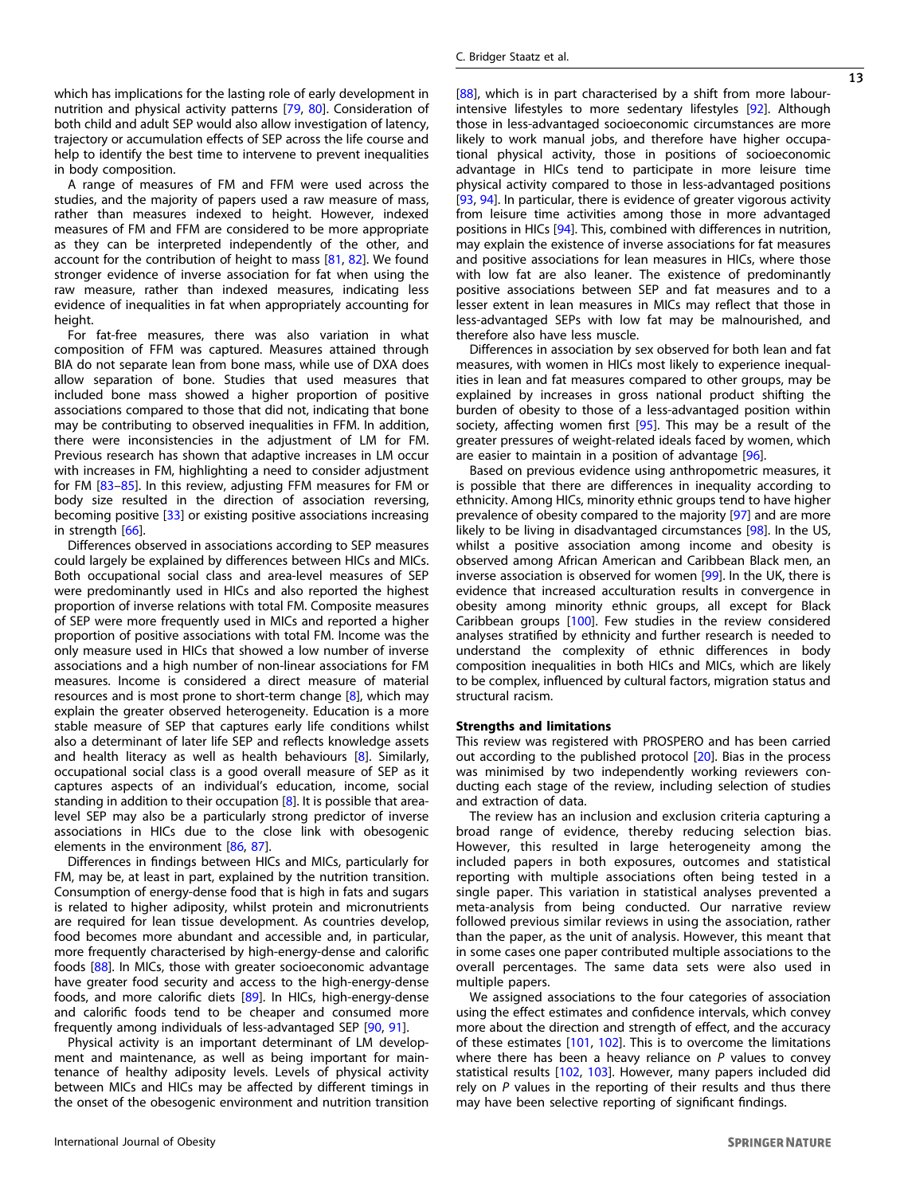which has implications for the lasting role of early development in nutrition and physical activity patterns [[79](#page-15-0), [80](#page-15-0)]. Consideration of both child and adult SEP would also allow investigation of latency, trajectory or accumulation effects of SEP across the life course and help to identify the best time to intervene to prevent inequalities in body composition.

A range of measures of FM and FFM were used across the studies, and the majority of papers used a raw measure of mass, rather than measures indexed to height. However, indexed measures of FM and FFM are considered to be more appropriate as they can be interpreted independently of the other, and account for the contribution of height to mass [\[81](#page-15-0), [82\]](#page-15-0). We found stronger evidence of inverse association for fat when using the raw measure, rather than indexed measures, indicating less evidence of inequalities in fat when appropriately accounting for height

For fat-free measures, there was also variation in what composition of FFM was captured. Measures attained through BIA do not separate lean from bone mass, while use of DXA does allow separation of bone. Studies that used measures that included bone mass showed a higher proportion of positive associations compared to those that did not, indicating that bone may be contributing to observed inequalities in FFM. In addition, there were inconsistencies in the adjustment of LM for FM. Previous research has shown that adaptive increases in LM occur with increases in FM, highlighting a need to consider adjustment for FM [\[83](#page-15-0)–[85](#page-15-0)]. In this review, adjusting FFM measures for FM or body size resulted in the direction of association reversing, becoming positive [\[33\]](#page-14-0) or existing positive associations increasing in strength [[66](#page-14-0)].

Differences observed in associations according to SEP measures could largely be explained by differences between HICs and MICs. Both occupational social class and area-level measures of SEP were predominantly used in HICs and also reported the highest proportion of inverse relations with total FM. Composite measures of SEP were more frequently used in MICs and reported a higher proportion of positive associations with total FM. Income was the only measure used in HICs that showed a low number of inverse associations and a high number of non-linear associations for FM measures. Income is considered a direct measure of material resources and is most prone to short-term change [\[8\]](#page-13-0), which may explain the greater observed heterogeneity. Education is a more stable measure of SEP that captures early life conditions whilst also a determinant of later life SEP and reflects knowledge assets and health literacy as well as health behaviours  $[8]$ . Similarly, occupational social class is a good overall measure of SEP as it captures aspects of an individual's education, income, social standing in addition to their occupation [\[8\]](#page-13-0). It is possible that arealevel SEP may also be a particularly strong predictor of inverse associations in HICs due to the close link with obesogenic elements in the environment [\[86](#page-15-0), [87](#page-15-0)].

Differences in findings between HICs and MICs, particularly for FM, may be, at least in part, explained by the nutrition transition. Consumption of energy-dense food that is high in fats and sugars is related to higher adiposity, whilst protein and micronutrients are required for lean tissue development. As countries develop, food becomes more abundant and accessible and, in particular, more frequently characterised by high-energy-dense and calorific foods [\[88\]](#page-15-0). In MICs, those with greater socioeconomic advantage have greater food security and access to the high-energy-dense foods, and more calorific diets [\[89](#page-15-0)]. In HICs, high-energy-dense and calorific foods tend to be cheaper and consumed more frequently among individuals of less-advantaged SEP [\[90,](#page-15-0) [91\]](#page-15-0).

Physical activity is an important determinant of LM development and maintenance, as well as being important for maintenance of healthy adiposity levels. Levels of physical activity between MICs and HICs may be affected by different timings in the onset of the obesogenic environment and nutrition transition [\[88\]](#page-15-0), which is in part characterised by a shift from more labourintensive lifestyles to more sedentary lifestyles [[92\]](#page-15-0). Although those in less-advantaged socioeconomic circumstances are more likely to work manual jobs, and therefore have higher occupational physical activity, those in positions of socioeconomic advantage in HICs tend to participate in more leisure time physical activity compared to those in less-advantaged positions [\[93,](#page-15-0) [94\]](#page-15-0). In particular, there is evidence of greater vigorous activity from leisure time activities among those in more advantaged positions in HICs [[94\]](#page-15-0). This, combined with differences in nutrition, may explain the existence of inverse associations for fat measures and positive associations for lean measures in HICs, where those with low fat are also leaner. The existence of predominantly positive associations between SEP and fat measures and to a lesser extent in lean measures in MICs may reflect that those in less-advantaged SEPs with low fat may be malnourished, and therefore also have less muscle.

Differences in association by sex observed for both lean and fat measures, with women in HICs most likely to experience inequalities in lean and fat measures compared to other groups, may be explained by increases in gross national product shifting the burden of obesity to those of a less-advantaged position within society, affecting women first [\[95\]](#page-15-0). This may be a result of the greater pressures of weight-related ideals faced by women, which are easier to maintain in a position of advantage [[96](#page-15-0)].

Based on previous evidence using anthropometric measures, it is possible that there are differences in inequality according to ethnicity. Among HICs, minority ethnic groups tend to have higher prevalence of obesity compared to the majority [[97\]](#page-15-0) and are more likely to be living in disadvantaged circumstances [[98\]](#page-15-0). In the US, whilst a positive association among income and obesity is observed among African American and Caribbean Black men, an inverse association is observed for women [[99\]](#page-15-0). In the UK, there is evidence that increased acculturation results in convergence in obesity among minority ethnic groups, all except for Black Caribbean groups [[100](#page-15-0)]. Few studies in the review considered analyses stratified by ethnicity and further research is needed to understand the complexity of ethnic differences in body composition inequalities in both HICs and MICs, which are likely to be complex, influenced by cultural factors, migration status and structural racism.

#### Strengths and limitations

This review was registered with PROSPERO and has been carried out according to the published protocol [\[20\]](#page-13-0). Bias in the process was minimised by two independently working reviewers conducting each stage of the review, including selection of studies and extraction of data.

The review has an inclusion and exclusion criteria capturing a broad range of evidence, thereby reducing selection bias. However, this resulted in large heterogeneity among the included papers in both exposures, outcomes and statistical reporting with multiple associations often being tested in a single paper. This variation in statistical analyses prevented a meta-analysis from being conducted. Our narrative review followed previous similar reviews in using the association, rather than the paper, as the unit of analysis. However, this meant that in some cases one paper contributed multiple associations to the overall percentages. The same data sets were also used in multiple papers.

We assigned associations to the four categories of association using the effect estimates and confidence intervals, which convey more about the direction and strength of effect, and the accuracy of these estimates [\[101](#page-15-0), [102\]](#page-15-0). This is to overcome the limitations where there has been a heavy reliance on  $P$  values to convey statistical results [\[102,](#page-15-0) [103\]](#page-15-0). However, many papers included did rely on  $P$  values in the reporting of their results and thus there may have been selective reporting of significant findings.

13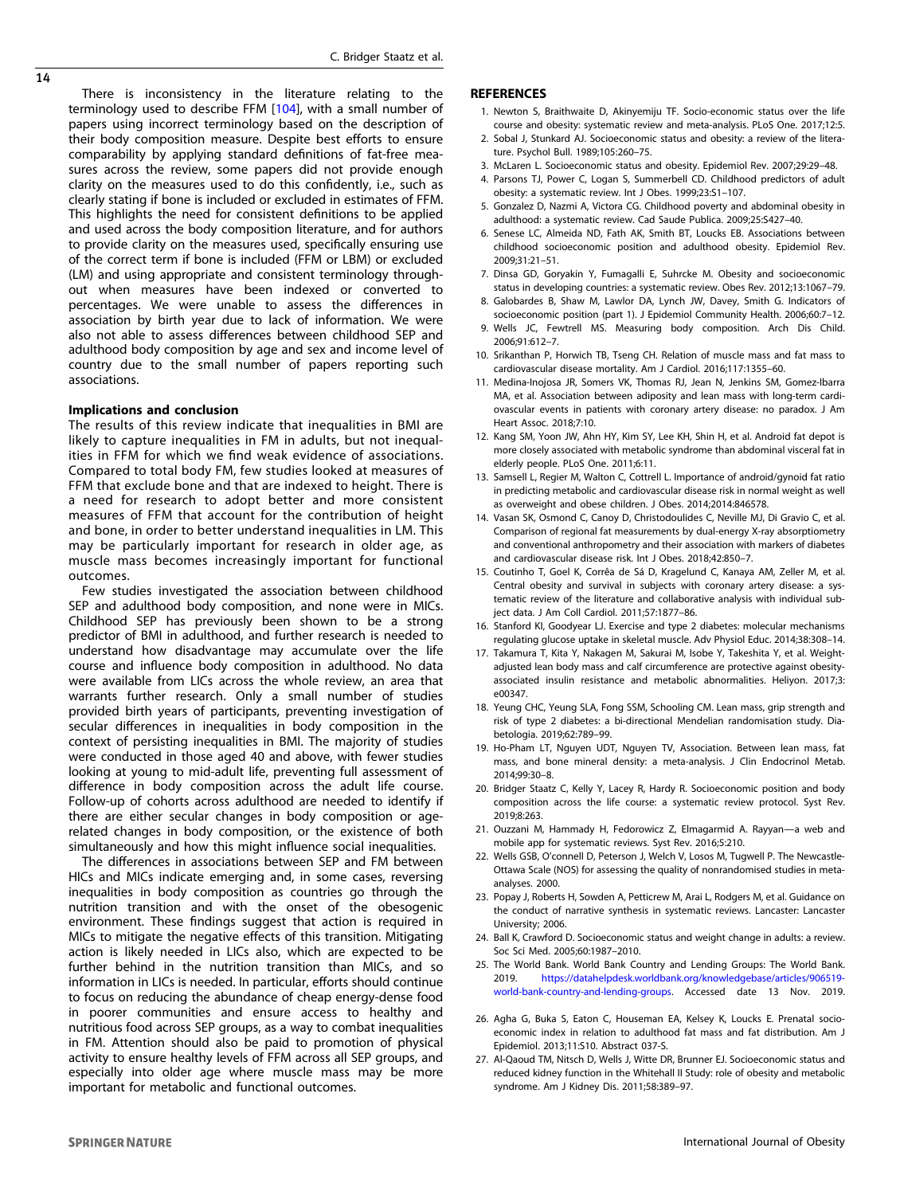<span id="page-13-0"></span>There is inconsistency in the literature relating to the terminology used to describe FFM [\[104](#page-15-0)], with a small number of papers using incorrect terminology based on the description of their body composition measure. Despite best efforts to ensure comparability by applying standard definitions of fat-free measures across the review, some papers did not provide enough clarity on the measures used to do this confidently, i.e., such as clearly stating if bone is included or excluded in estimates of FFM. This highlights the need for consistent definitions to be applied and used across the body composition literature, and for authors to provide clarity on the measures used, specifically ensuring use of the correct term if bone is included (FFM or LBM) or excluded (LM) and using appropriate and consistent terminology throughout when measures have been indexed or converted to percentages. We were unable to assess the differences in association by birth year due to lack of information. We were also not able to assess differences between childhood SEP and adulthood body composition by age and sex and income level of country due to the small number of papers reporting such associations.

# Implications and conclusion

The results of this review indicate that inequalities in BMI are likely to capture inequalities in FM in adults, but not inequalities in FFM for which we find weak evidence of associations. Compared to total body FM, few studies looked at measures of FFM that exclude bone and that are indexed to height. There is a need for research to adopt better and more consistent measures of FFM that account for the contribution of height and bone, in order to better understand inequalities in LM. This may be particularly important for research in older age, as muscle mass becomes increasingly important for functional outcomes.

Few studies investigated the association between childhood SEP and adulthood body composition, and none were in MICs. Childhood SEP has previously been shown to be a strong predictor of BMI in adulthood, and further research is needed to understand how disadvantage may accumulate over the life course and influence body composition in adulthood. No data were available from LICs across the whole review, an area that warrants further research. Only a small number of studies provided birth years of participants, preventing investigation of secular differences in inequalities in body composition in the context of persisting inequalities in BMI. The majority of studies were conducted in those aged 40 and above, with fewer studies looking at young to mid-adult life, preventing full assessment of difference in body composition across the adult life course. Follow-up of cohorts across adulthood are needed to identify if there are either secular changes in body composition or agerelated changes in body composition, or the existence of both simultaneously and how this might influence social inequalities.

The differences in associations between SEP and FM between HICs and MICs indicate emerging and, in some cases, reversing inequalities in body composition as countries go through the nutrition transition and with the onset of the obesogenic environment. These findings suggest that action is required in MICs to mitigate the negative effects of this transition. Mitigating action is likely needed in LICs also, which are expected to be further behind in the nutrition transition than MICs, and so information in LICs is needed. In particular, efforts should continue to focus on reducing the abundance of cheap energy-dense food in poorer communities and ensure access to healthy and nutritious food across SEP groups, as a way to combat inequalities in FM. Attention should also be paid to promotion of physical activity to ensure healthy levels of FFM across all SEP groups, and especially into older age where muscle mass may be more important for metabolic and functional outcomes.

#### **REFERENCES**

- 1. Newton S, Braithwaite D, Akinyemiju TF. Socio-economic status over the life course and obesity: systematic review and meta-analysis. PLoS One. 2017;12:5.
- 2. Sobal J, Stunkard AJ. Socioeconomic status and obesity: a review of the literature. Psychol Bull. 1989;105:260–75.
- 3. McLaren L. Socioeconomic status and obesity. Epidemiol Rev. 2007;29:29–48.
- 4. Parsons TJ, Power C, Logan S, Summerbell CD. Childhood predictors of adult obesity: a systematic review. Int J Obes. 1999;23:S1–107.
- 5. Gonzalez D, Nazmi A, Victora CG. Childhood poverty and abdominal obesity in adulthood: a systematic review. Cad Saude Publica. 2009;25:S427–40.
- 6. Senese LC, Almeida ND, Fath AK, Smith BT, Loucks EB. Associations between childhood socioeconomic position and adulthood obesity. Epidemiol Rev. 2009;31:21–51.
- 7. Dinsa GD, Goryakin Y, Fumagalli E, Suhrcke M. Obesity and socioeconomic status in developing countries: a systematic review. Obes Rev. 2012;13:1067–79.
- 8. Galobardes B, Shaw M, Lawlor DA, Lynch JW, Davey, Smith G. Indicators of socioeconomic position (part 1). J Epidemiol Community Health. 2006;60:7–12.
- 9. Wells JC, Fewtrell MS. Measuring body composition. Arch Dis Child. 2006;91:612–7.
- 10. Srikanthan P, Horwich TB, Tseng CH. Relation of muscle mass and fat mass to cardiovascular disease mortality. Am J Cardiol. 2016;117:1355–60.
- 11. Medina-Inojosa JR, Somers VK, Thomas RJ, Jean N, Jenkins SM, Gomez-Ibarra MA, et al. Association between adiposity and lean mass with long-term cardiovascular events in patients with coronary artery disease: no paradox. J Am Heart Assoc. 2018;7:10.
- 12. Kang SM, Yoon JW, Ahn HY, Kim SY, Lee KH, Shin H, et al. Android fat depot is more closely associated with metabolic syndrome than abdominal visceral fat in elderly people. PLoS One. 2011;6:11.
- 13. Samsell L, Regier M, Walton C, Cottrell L. Importance of android/gynoid fat ratio in predicting metabolic and cardiovascular disease risk in normal weight as well as overweight and obese children. J Obes. 2014;2014:846578.
- 14. Vasan SK, Osmond C, Canoy D, Christodoulides C, Neville MJ, Di Gravio C, et al. Comparison of regional fat measurements by dual-energy X-ray absorptiometry and conventional anthropometry and their association with markers of diabetes and cardiovascular disease risk. Int J Obes. 2018;42:850–7.
- 15. Coutinho T, Goel K, Corrêa de Sá D, Kragelund C, Kanaya AM, Zeller M, et al. Central obesity and survival in subjects with coronary artery disease: a systematic review of the literature and collaborative analysis with individual subject data. J Am Coll Cardiol. 2011;57:1877–86.
- 16. Stanford KI, Goodyear LJ. Exercise and type 2 diabetes: molecular mechanisms regulating glucose uptake in skeletal muscle. Adv Physiol Educ. 2014;38:308–14.
- 17. Takamura T, Kita Y, Nakagen M, Sakurai M, Isobe Y, Takeshita Y, et al. Weightadjusted lean body mass and calf circumference are protective against obesityassociated insulin resistance and metabolic abnormalities. Heliyon. 2017;3: e00347.
- 18. Yeung CHC, Yeung SLA, Fong SSM, Schooling CM. Lean mass, grip strength and risk of type 2 diabetes: a bi-directional Mendelian randomisation study. Diabetologia. 2019;62:789–99.
- 19. Ho-Pham LT, Nguyen UDT, Nguyen TV, Association. Between lean mass, fat mass, and bone mineral density: a meta-analysis. J Clin Endocrinol Metab. 2014;99:30–8.
- 20. Bridger Staatz C, Kelly Y, Lacey R, Hardy R. Socioeconomic position and body composition across the life course: a systematic review protocol. Syst Rev. 2019;8:263.
- 21. Ouzzani M, Hammady H, Fedorowicz Z, Elmagarmid A. Rayyan—a web and mobile app for systematic reviews. Syst Rev. 2016;5:210.
- 22. Wells GSB, O'connell D, Peterson J, Welch V, Losos M, Tugwell P. The Newcastle-Ottawa Scale (NOS) for assessing the quality of nonrandomised studies in metaanalyses. 2000.
- 23. Popay J, Roberts H, Sowden A, Petticrew M, Arai L, Rodgers M, et al. Guidance on the conduct of narrative synthesis in systematic reviews. Lancaster: Lancaster University; 2006.
- 24. Ball K, Crawford D. Socioeconomic status and weight change in adults: a review. Soc Sci Med. 2005;60:1987–2010.
- 25. The World Bank. World Bank Country and Lending Groups: The World Bank. 2019. [https://datahelpdesk.worldbank.org/knowledgebase/articles/906519](https://datahelpdesk.worldbank.org/knowledgebase/articles/906519-world-bank-country-and-lending-groups) [world-bank-country-and-lending-groups](https://datahelpdesk.worldbank.org/knowledgebase/articles/906519-world-bank-country-and-lending-groups). Accessed date 13 Nov. 2019.
- 26. Agha G, Buka S, Eaton C, Houseman EA, Kelsey K, Loucks E. Prenatal socioeconomic index in relation to adulthood fat mass and fat distribution. Am J Epidemiol. 2013;11:S10. Abstract 037-S.
- 27. Al-Qaoud TM, Nitsch D, Wells J, Witte DR, Brunner EJ. Socioeconomic status and reduced kidney function in the Whitehall II Study: role of obesity and metabolic syndrome. Am J Kidney Dis. 2011;58:389–97.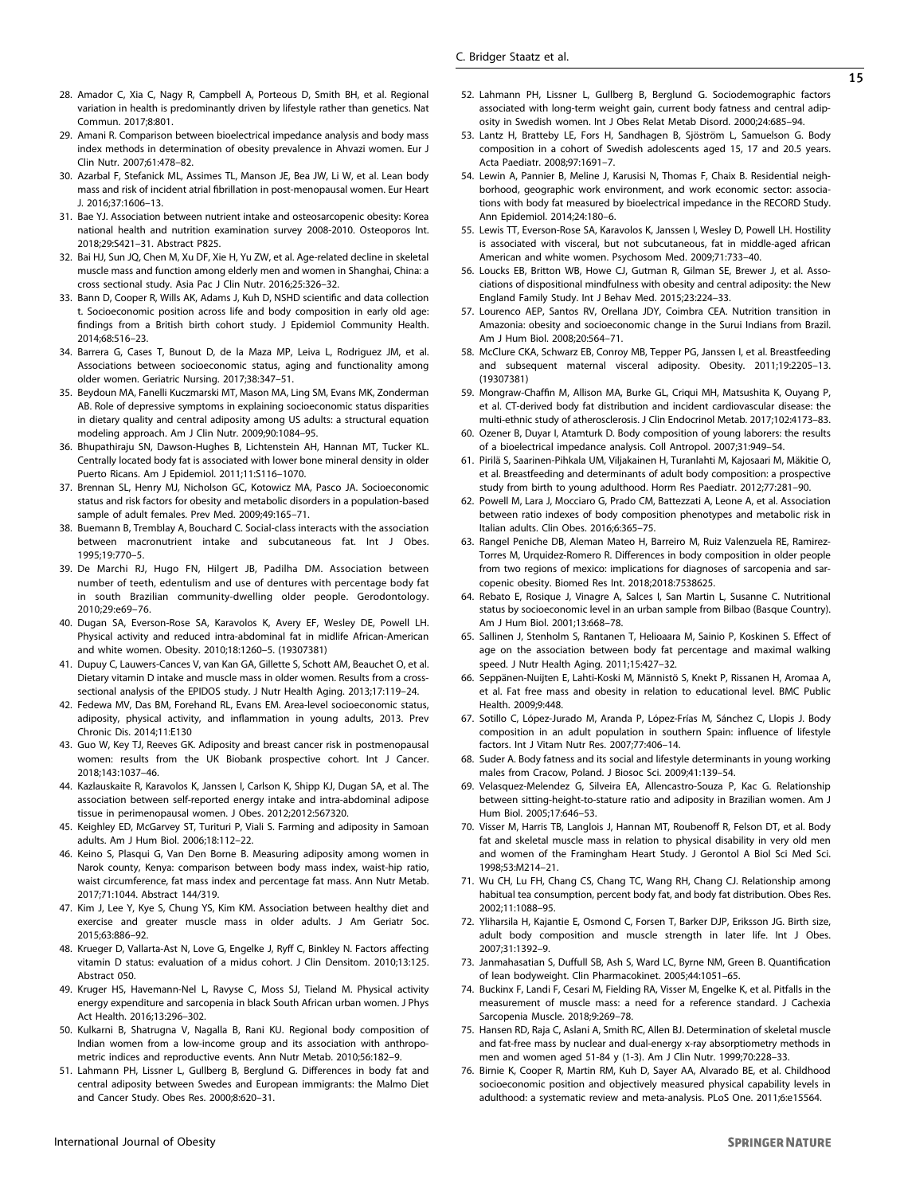- <span id="page-14-0"></span>28. Amador C, Xia C, Nagy R, Campbell A, Porteous D, Smith BH, et al. Regional variation in health is predominantly driven by lifestyle rather than genetics. Nat Commun. 2017;8:801.
- 29. Amani R. Comparison between bioelectrical impedance analysis and body mass index methods in determination of obesity prevalence in Ahvazi women. Eur J Clin Nutr. 2007;61:478–82.
- 30. Azarbal F, Stefanick ML, Assimes TL, Manson JE, Bea JW, Li W, et al. Lean body mass and risk of incident atrial fibrillation in post-menopausal women. Eur Heart J. 2016;37:1606–13.
- 31. Bae YJ. Association between nutrient intake and osteosarcopenic obesity: Korea national health and nutrition examination survey 2008-2010. Osteoporos Int. 2018;29:S421–31. Abstract P825.
- 32. Bai HJ, Sun JQ, Chen M, Xu DF, Xie H, Yu ZW, et al. Age-related decline in skeletal muscle mass and function among elderly men and women in Shanghai, China: a cross sectional study. Asia Pac J Clin Nutr. 2016;25:326–32.
- 33. Bann D, Cooper R, Wills AK, Adams J, Kuh D, NSHD scientific and data collection t. Socioeconomic position across life and body composition in early old age: findings from a British birth cohort study. J Epidemiol Community Health. 2014;68:516–23.
- 34. Barrera G, Cases T, Bunout D, de la Maza MP, Leiva L, Rodriguez JM, et al. Associations between socioeconomic status, aging and functionality among older women. Geriatric Nursing. 2017;38:347–51.
- 35. Beydoun MA, Fanelli Kuczmarski MT, Mason MA, Ling SM, Evans MK, Zonderman AB. Role of depressive symptoms in explaining socioeconomic status disparities in dietary quality and central adiposity among US adults: a structural equation modeling approach. Am J Clin Nutr. 2009;90:1084–95.
- 36. Bhupathiraju SN, Dawson-Hughes B, Lichtenstein AH, Hannan MT, Tucker KL. Centrally located body fat is associated with lower bone mineral density in older Puerto Ricans. Am J Epidemiol. 2011;11:S116–1070.
- 37. Brennan SL, Henry MJ, Nicholson GC, Kotowicz MA, Pasco JA. Socioeconomic status and risk factors for obesity and metabolic disorders in a population-based sample of adult females. Prev Med. 2009;49:165–71.
- 38. Buemann B, Tremblay A, Bouchard C. Social-class interacts with the association between macronutrient intake and subcutaneous fat. Int J Obes. 1995;19:770–5.
- 39. De Marchi RJ, Hugo FN, Hilgert JB, Padilha DM. Association between number of teeth, edentulism and use of dentures with percentage body fat in south Brazilian community-dwelling older people. Gerodontology. 2010;29:e69–76.
- 40. Dugan SA, Everson-Rose SA, Karavolos K, Avery EF, Wesley DE, Powell LH. Physical activity and reduced intra-abdominal fat in midlife African-American and white women. Obesity. 2010;18:1260–5. (19307381)
- 41. Dupuy C, Lauwers-Cances V, van Kan GA, Gillette S, Schott AM, Beauchet O, et al. Dietary vitamin D intake and muscle mass in older women. Results from a crosssectional analysis of the EPIDOS study. J Nutr Health Aging. 2013;17:119–24.
- 42. Fedewa MV, Das BM, Forehand RL, Evans EM. Area-level socioeconomic status, adiposity, physical activity, and inflammation in young adults, 2013. Prev Chronic Dis. 2014;11:E130
- 43. Guo W, Key TJ, Reeves GK. Adiposity and breast cancer risk in postmenopausal women: results from the UK Biobank prospective cohort. Int J Cancer. 2018;143:1037–46.
- 44. Kazlauskaite R, Karavolos K, Janssen I, Carlson K, Shipp KJ, Dugan SA, et al. The association between self-reported energy intake and intra-abdominal adipose tissue in perimenopausal women. J Obes. 2012;2012:567320.
- 45. Keighley ED, McGarvey ST, Turituri P, Viali S. Farming and adiposity in Samoan adults. Am J Hum Biol. 2006;18:112–22.
- 46. Keino S, Plasqui G, Van Den Borne B. Measuring adiposity among women in Narok county, Kenya: comparison between body mass index, waist-hip ratio, waist circumference, fat mass index and percentage fat mass. Ann Nutr Metab. 2017;71:1044. Abstract 144/319.
- 47. Kim J, Lee Y, Kye S, Chung YS, Kim KM. Association between healthy diet and exercise and greater muscle mass in older adults. J Am Geriatr Soc. 2015;63:886–92.
- 48. Krueger D, Vallarta-Ast N, Love G, Engelke J, Ryff C, Binkley N. Factors affecting vitamin D status: evaluation of a midus cohort. J Clin Densitom. 2010;13:125. Abstract 050.
- 49. Kruger HS, Havemann-Nel L, Ravyse C, Moss SJ, Tieland M. Physical activity energy expenditure and sarcopenia in black South African urban women. J Phys Act Health. 2016;13:296–302.
- 50. Kulkarni B, Shatrugna V, Nagalla B, Rani KU. Regional body composition of Indian women from a low-income group and its association with anthropometric indices and reproductive events. Ann Nutr Metab. 2010;56:182–9.
- 51. Lahmann PH, Lissner L, Gullberg B, Berglund G. Differences in body fat and central adiposity between Swedes and European immigrants: the Malmo Diet and Cancer Study. Obes Res. 2000;8:620–31.
- 52. Lahmann PH, Lissner L, Gullberg B, Berglund G. Sociodemographic factors associated with long-term weight gain, current body fatness and central adiposity in Swedish women. Int J Obes Relat Metab Disord. 2000;24:685–94.
- 53. Lantz H, Bratteby LE, Fors H, Sandhagen B, Sjöström L, Samuelson G. Body composition in a cohort of Swedish adolescents aged 15, 17 and 20.5 years. Acta Paediatr. 2008;97:1691–7.
- 54. Lewin A, Pannier B, Meline J, Karusisi N, Thomas F, Chaix B. Residential neighborhood, geographic work environment, and work economic sector: associations with body fat measured by bioelectrical impedance in the RECORD Study. Ann Epidemiol. 2014;24:180–6.
- 55. Lewis TT, Everson-Rose SA, Karavolos K, Janssen I, Wesley D, Powell LH. Hostility is associated with visceral, but not subcutaneous, fat in middle-aged african American and white women. Psychosom Med. 2009;71:733–40.
- 56. Loucks EB, Britton WB, Howe CJ, Gutman R, Gilman SE, Brewer J, et al. Associations of dispositional mindfulness with obesity and central adiposity: the New England Family Study. Int J Behav Med. 2015;23:224–33.
- 57. Lourenco AEP, Santos RV, Orellana JDY, Coimbra CEA. Nutrition transition in Amazonia: obesity and socioeconomic change in the Surui Indians from Brazil. Am J Hum Biol. 2008;20:564–71.
- 58. McClure CKA, Schwarz EB, Conroy MB, Tepper PG, Janssen I, et al. Breastfeeding and subsequent maternal visceral adiposity. Obesity. 2011;19:2205–13. (19307381)
- 59. Mongraw-Chaffin M, Allison MA, Burke GL, Criqui MH, Matsushita K, Ouyang P, et al. CT-derived body fat distribution and incident cardiovascular disease: the multi-ethnic study of atherosclerosis. J Clin Endocrinol Metab. 2017;102:4173–83.
- 60. Ozener B, Duyar I, Atamturk D. Body composition of young laborers: the results of a bioelectrical impedance analysis. Coll Antropol. 2007;31:949–54.
- 61. Pirilä S, Saarinen-Pihkala UM, Viljakainen H, Turanlahti M, Kajosaari M, Mäkitie O, et al. Breastfeeding and determinants of adult body composition: a prospective study from birth to young adulthood. Horm Res Paediatr. 2012;77:281–90.
- 62. Powell M, Lara J, Mocciaro G, Prado CM, Battezzati A, Leone A, et al. Association between ratio indexes of body composition phenotypes and metabolic risk in Italian adults. Clin Obes. 2016;6:365–75.
- 63. Rangel Peniche DB, Aleman Mateo H, Barreiro M, Ruiz Valenzuela RE, Ramirez-Torres M, Urquidez-Romero R. Differences in body composition in older people from two regions of mexico: implications for diagnoses of sarcopenia and sarcopenic obesity. Biomed Res Int. 2018;2018:7538625.
- 64. Rebato E, Rosique J, Vinagre A, Salces I, San Martin L, Susanne C. Nutritional status by socioeconomic level in an urban sample from Bilbao (Basque Country). Am J Hum Biol. 2001;13:668–78.
- 65. Sallinen J, Stenholm S, Rantanen T, Helioaara M, Sainio P, Koskinen S. Effect of age on the association between body fat percentage and maximal walking speed. J Nutr Health Aging. 2011;15:427–32.
- 66. Seppänen-Nuijten E, Lahti-Koski M, Männistö S, Knekt P, Rissanen H, Aromaa A, et al. Fat free mass and obesity in relation to educational level. BMC Public Health. 2009;9:448.
- 67. Sotillo C, López-Jurado M, Aranda P, López-Frías M, Sánchez C, Llopis J. Body composition in an adult population in southern Spain: influence of lifestyle factors. Int J Vitam Nutr Res. 2007;77:406–14.
- 68. Suder A. Body fatness and its social and lifestyle determinants in young working males from Cracow, Poland. J Biosoc Sci. 2009;41:139–54.
- 69. Velasquez-Melendez G, Silveira EA, Allencastro-Souza P, Kac G. Relationship between sitting-height-to-stature ratio and adiposity in Brazilian women. Am J Hum Biol. 2005;17:646–53.
- 70. Visser M, Harris TB, Langlois J, Hannan MT, Roubenoff R, Felson DT, et al. Body fat and skeletal muscle mass in relation to physical disability in very old men and women of the Framingham Heart Study. J Gerontol A Biol Sci Med Sci. 1998;53:M214–21.
- 71. Wu CH, Lu FH, Chang CS, Chang TC, Wang RH, Chang CJ. Relationship among habitual tea consumption, percent body fat, and body fat distribution. Obes Res. 2002;11:1088–95.
- 72. Yliharsila H, Kajantie E, Osmond C, Forsen T, Barker DJP, Eriksson JG. Birth size, adult body composition and muscle strength in later life. Int J Obes. 2007;31:1392–9.
- 73. Janmahasatian S, Duffull SB, Ash S, Ward LC, Byrne NM, Green B. Quantification of lean bodyweight. Clin Pharmacokinet. 2005;44:1051–65.
- 74. Buckinx F, Landi F, Cesari M, Fielding RA, Visser M, Engelke K, et al. Pitfalls in the measurement of muscle mass: a need for a reference standard. J Cachexia Sarcopenia Muscle. 2018;9:269–78.
- 75. Hansen RD, Raja C, Aslani A, Smith RC, Allen BJ. Determination of skeletal muscle and fat-free mass by nuclear and dual-energy x-ray absorptiometry methods in men and women aged 51-84 y (1-3). Am J Clin Nutr. 1999;70:228–33.
- 76. Birnie K, Cooper R, Martin RM, Kuh D, Sayer AA, Alvarado BE, et al. Childhood socioeconomic position and objectively measured physical capability levels in adulthood: a systematic review and meta-analysis. PLoS One. 2011;6:e15564.